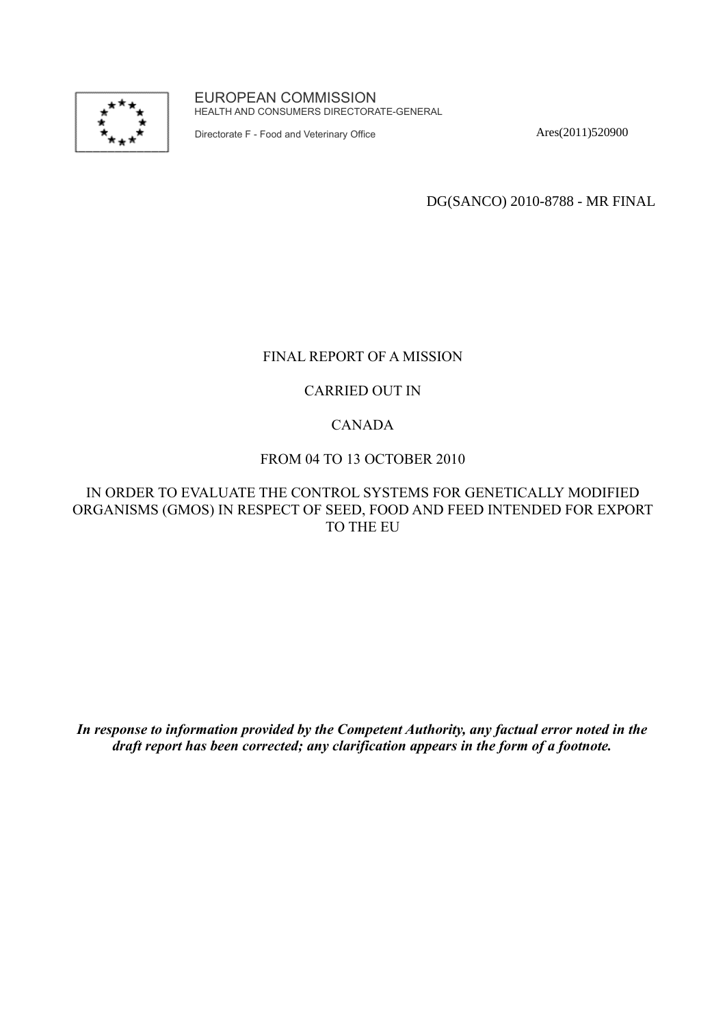

EUROPEAN COMMISSION HEALTH AND CONSUMERS DIRECTORATE-GENERAL

Directorate F - Food and Veterinary Office

Ares(2011)520900

DG(SANCO) 2010-8788 - MR FINAL

### FINAL REPORT OF A MISSION

#### CARRIED OUT IN

### CANADA

#### FROM 04 TO 13 OCTOBER 2010

### IN ORDER TO EVALUATE THE CONTROL SYSTEMS FOR GENETICALLY MODIFIED ORGANISMS (GMOS) IN RESPECT OF SEED, FOOD AND FEED INTENDED FOR EXPORT TO THE EU

*In response to information provided by the Competent Authority, any factual error noted in the draft report has been corrected; any clarification appears in the form of a footnote.*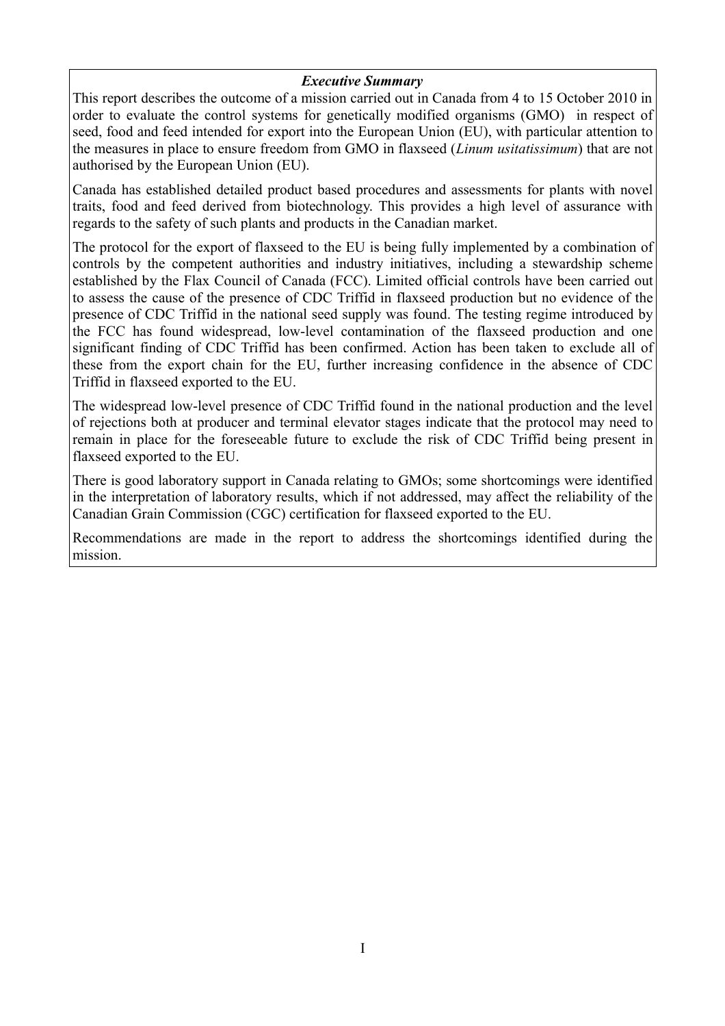### *Executive Summary*

This report describes the outcome of a mission carried out in Canada from 4 to 15 October 2010 in order to evaluate the control systems for genetically modified organisms (GMO) in respect of seed, food and feed intended for export into the European Union (EU), with particular attention to the measures in place to ensure freedom from GMO in flaxseed (*Linum usitatissimum*) that are not authorised by the European Union (EU).

Canada has established detailed product based procedures and assessments for plants with novel traits, food and feed derived from biotechnology. This provides a high level of assurance with regards to the safety of such plants and products in the Canadian market.

The protocol for the export of flaxseed to the EU is being fully implemented by a combination of controls by the competent authorities and industry initiatives, including a stewardship scheme established by the Flax Council of Canada (FCC). Limited official controls have been carried out to assess the cause of the presence of CDC Triffid in flaxseed production but no evidence of the presence of CDC Triffid in the national seed supply was found. The testing regime introduced by the FCC has found widespread, low-level contamination of the flaxseed production and one significant finding of CDC Triffid has been confirmed. Action has been taken to exclude all of these from the export chain for the EU, further increasing confidence in the absence of CDC Triffid in flaxseed exported to the EU.

The widespread low-level presence of CDC Triffid found in the national production and the level of rejections both at producer and terminal elevator stages indicate that the protocol may need to remain in place for the foreseeable future to exclude the risk of CDC Triffid being present in flaxseed exported to the EU.

There is good laboratory support in Canada relating to GMOs; some shortcomings were identified in the interpretation of laboratory results, which if not addressed, may affect the reliability of the Canadian Grain Commission (CGC) certification for flaxseed exported to the EU.

Recommendations are made in the report to address the shortcomings identified during the mission.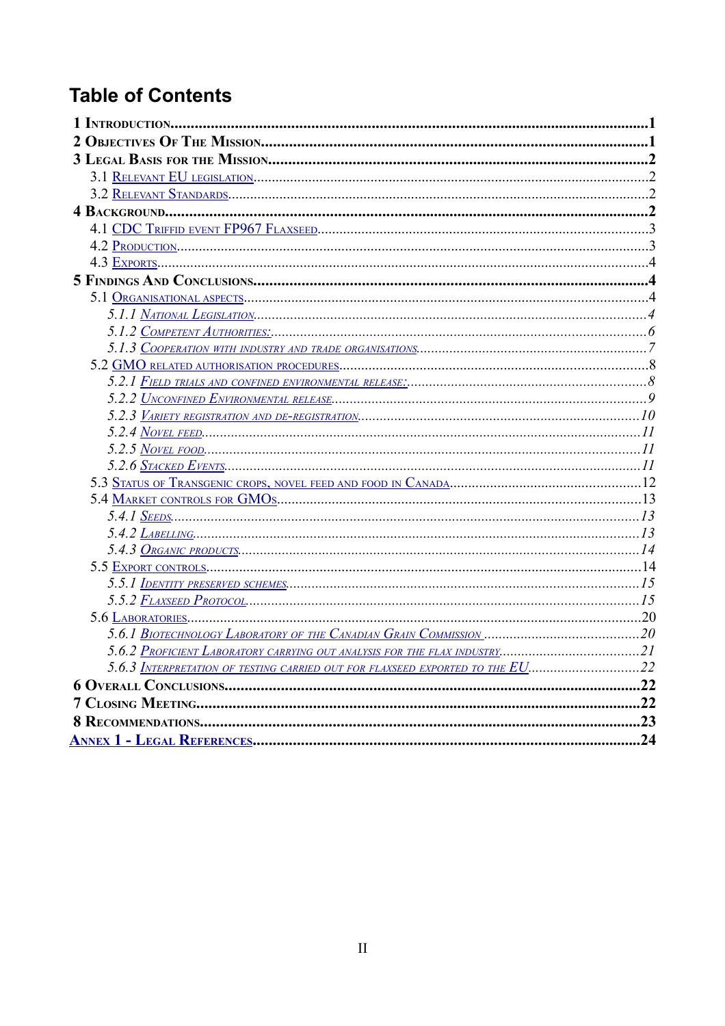# **Table of Contents**

| 5.4.2 $\frac{L_{ABELLING}}{3}$                                                |  |
|-------------------------------------------------------------------------------|--|
|                                                                               |  |
|                                                                               |  |
|                                                                               |  |
|                                                                               |  |
|                                                                               |  |
|                                                                               |  |
|                                                                               |  |
| 5.6.3 INTERPRETATION OF TESTING CARRIED OUT FOR FLAXSEED EXPORTED TO THE EU22 |  |
|                                                                               |  |
|                                                                               |  |
|                                                                               |  |
|                                                                               |  |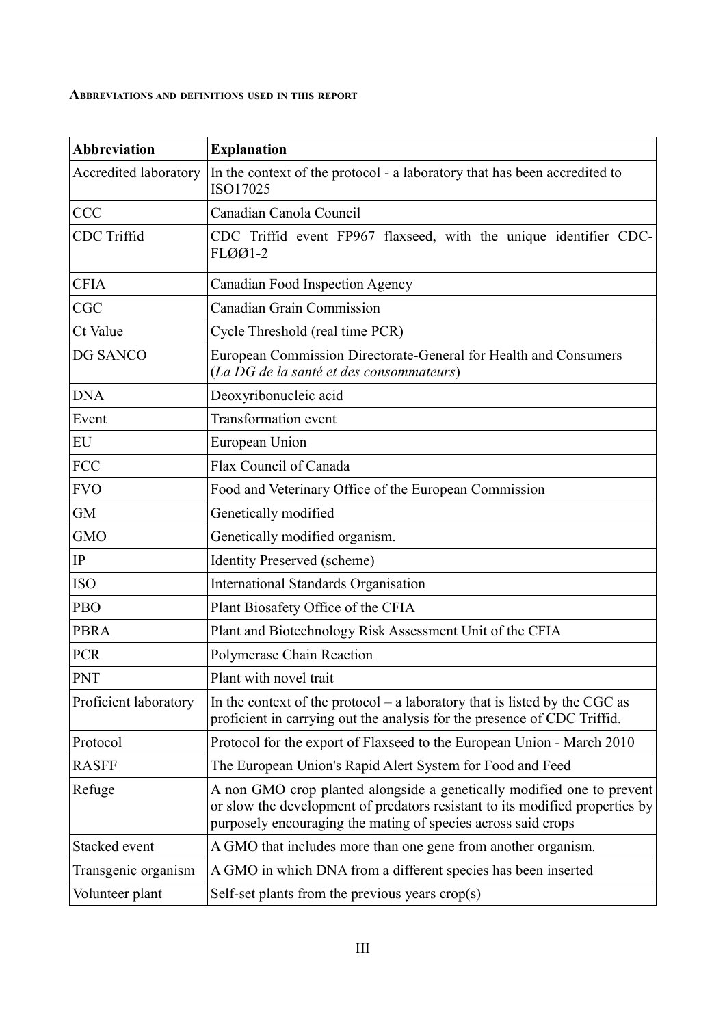#### **ABBREVIATIONS AND DEFINITIONS USED IN THIS REPORT**

| <b>Abbreviation</b>   | <b>Explanation</b>                                                                                                                                                                                                      |  |  |  |
|-----------------------|-------------------------------------------------------------------------------------------------------------------------------------------------------------------------------------------------------------------------|--|--|--|
| Accredited laboratory | In the context of the protocol - a laboratory that has been accredited to<br>ISO17025                                                                                                                                   |  |  |  |
| <b>CCC</b>            | Canadian Canola Council                                                                                                                                                                                                 |  |  |  |
| <b>CDC</b> Triffid    | CDC Triffid event FP967 flaxseed, with the unique identifier CDC-<br>FLØØ1-2                                                                                                                                            |  |  |  |
| <b>CFIA</b>           | Canadian Food Inspection Agency                                                                                                                                                                                         |  |  |  |
| <b>CGC</b>            | <b>Canadian Grain Commission</b>                                                                                                                                                                                        |  |  |  |
| Ct Value              | Cycle Threshold (real time PCR)                                                                                                                                                                                         |  |  |  |
| DG SANCO              | European Commission Directorate-General for Health and Consumers<br>(La DG de la santé et des consommateurs)                                                                                                            |  |  |  |
| <b>DNA</b>            | Deoxyribonucleic acid                                                                                                                                                                                                   |  |  |  |
| Event                 | <b>Transformation</b> event                                                                                                                                                                                             |  |  |  |
| EU                    | European Union                                                                                                                                                                                                          |  |  |  |
| <b>FCC</b>            | Flax Council of Canada                                                                                                                                                                                                  |  |  |  |
| <b>FVO</b>            | Food and Veterinary Office of the European Commission                                                                                                                                                                   |  |  |  |
| <b>GM</b>             | Genetically modified                                                                                                                                                                                                    |  |  |  |
| <b>GMO</b>            | Genetically modified organism.                                                                                                                                                                                          |  |  |  |
| IP                    | <b>Identity Preserved (scheme)</b>                                                                                                                                                                                      |  |  |  |
| <b>ISO</b>            | <b>International Standards Organisation</b>                                                                                                                                                                             |  |  |  |
| PBO                   | Plant Biosafety Office of the CFIA                                                                                                                                                                                      |  |  |  |
| <b>PBRA</b>           | Plant and Biotechnology Risk Assessment Unit of the CFIA                                                                                                                                                                |  |  |  |
| <b>PCR</b>            | Polymerase Chain Reaction                                                                                                                                                                                               |  |  |  |
| PNT                   | Plant with novel trait                                                                                                                                                                                                  |  |  |  |
| Proficient laboratory | In the context of the protocol – a laboratory that is listed by the CGC as<br>proficient in carrying out the analysis for the presence of CDC Triffid.                                                                  |  |  |  |
| Protocol              | Protocol for the export of Flaxseed to the European Union - March 2010                                                                                                                                                  |  |  |  |
| <b>RASFF</b>          | The European Union's Rapid Alert System for Food and Feed                                                                                                                                                               |  |  |  |
| Refuge                | A non GMO crop planted alongside a genetically modified one to prevent<br>or slow the development of predators resistant to its modified properties by<br>purposely encouraging the mating of species across said crops |  |  |  |
| Stacked event         | A GMO that includes more than one gene from another organism.                                                                                                                                                           |  |  |  |
| Transgenic organism   | A GMO in which DNA from a different species has been inserted                                                                                                                                                           |  |  |  |
| Volunteer plant       | Self-set plants from the previous years $\text{crop}(s)$                                                                                                                                                                |  |  |  |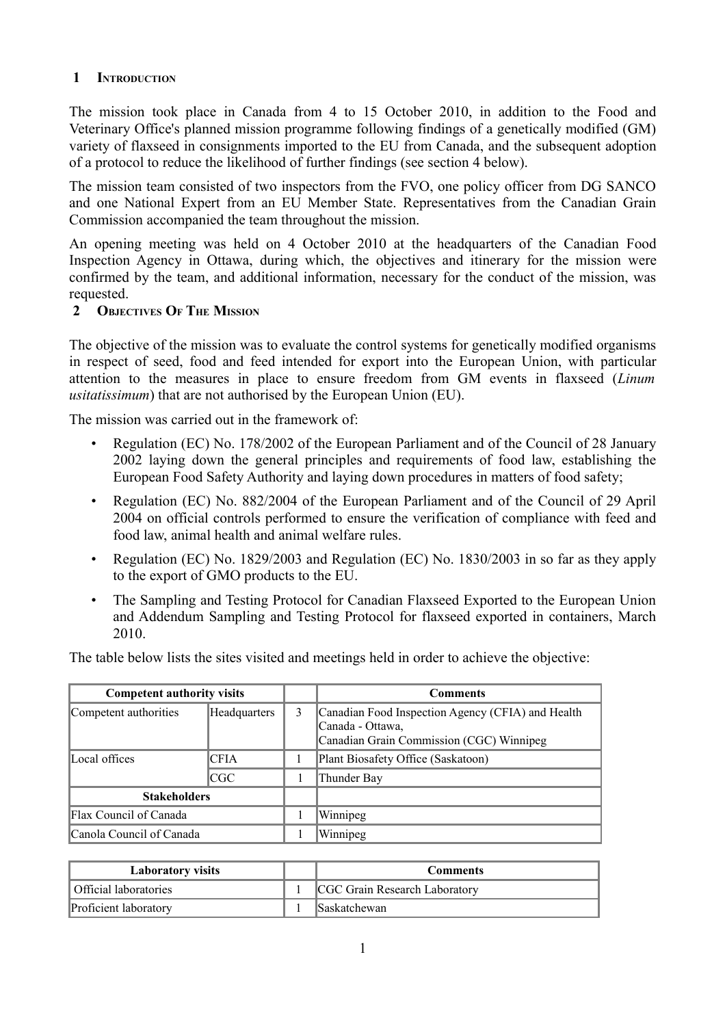### **1 INTRODUCTION**

The mission took place in Canada from 4 to 15 October 2010, in addition to the Food and Veterinary Office's planned mission programme following findings of a genetically modified (GM) variety of flaxseed in consignments imported to the EU from Canada, and the subsequent adoption of a protocol to reduce the likelihood of further findings (see section 4 below).

The mission team consisted of two inspectors from the FVO, one policy officer from DG SANCO and one National Expert from an EU Member State. Representatives from the Canadian Grain Commission accompanied the team throughout the mission.

An opening meeting was held on 4 October 2010 at the headquarters of the Canadian Food Inspection Agency in Ottawa, during which, the objectives and itinerary for the mission were confirmed by the team, and additional information, necessary for the conduct of the mission, was requested.

#### **2 OBJECTIVES OF THE MISSION**

The objective of the mission was to evaluate the control systems for genetically modified organisms in respect of seed, food and feed intended for export into the European Union, with particular attention to the measures in place to ensure freedom from GM events in flaxseed (*Linum usitatissimum*) that are not authorised by the European Union (EU).

The mission was carried out in the framework of:

- Regulation (EC) No. 178/2002 of the European Parliament and of the Council of 28 January 2002 laying down the general principles and requirements of food law, establishing the European Food Safety Authority and laying down procedures in matters of food safety;
- Regulation (EC) No. 882/2004 of the European Parliament and of the Council of 29 April 2004 on official controls performed to ensure the verification of compliance with feed and food law, animal health and animal welfare rules.
- Regulation (EC) No. 1829/2003 and Regulation (EC) No. 1830/2003 in so far as they apply to the export of GMO products to the EU.
- The Sampling and Testing Protocol for Canadian Flaxseed Exported to the European Union and Addendum Sampling and Testing Protocol for flaxseed exported in containers, March 2010.

The table below lists the sites visited and meetings held in order to achieve the objective:

| <b>Competent authority visits</b> |              |   | <b>Comments</b>                                                                                                   |
|-----------------------------------|--------------|---|-------------------------------------------------------------------------------------------------------------------|
| Competent authorities             | Headquarters | 3 | Canadian Food Inspection Agency (CFIA) and Health<br>Canada - Ottawa,<br>Canadian Grain Commission (CGC) Winnipeg |
| Local offices                     | <b>CFIA</b>  |   | Plant Biosafety Office (Saskatoon)                                                                                |
|                                   | <b>CGC</b>   |   | Thunder Bay                                                                                                       |
| <b>Stakeholders</b>               |              |   |                                                                                                                   |
| Flax Council of Canada            |              |   | Winnipeg                                                                                                          |
| Canola Council of Canada          |              |   | Winnipeg                                                                                                          |

| <b>Laboratory visits</b> | <b>Comments</b>               |
|--------------------------|-------------------------------|
| Official laboratories    | CGC Grain Research Laboratory |
| Proficient laboratory    | <b>Saskatchewan</b>           |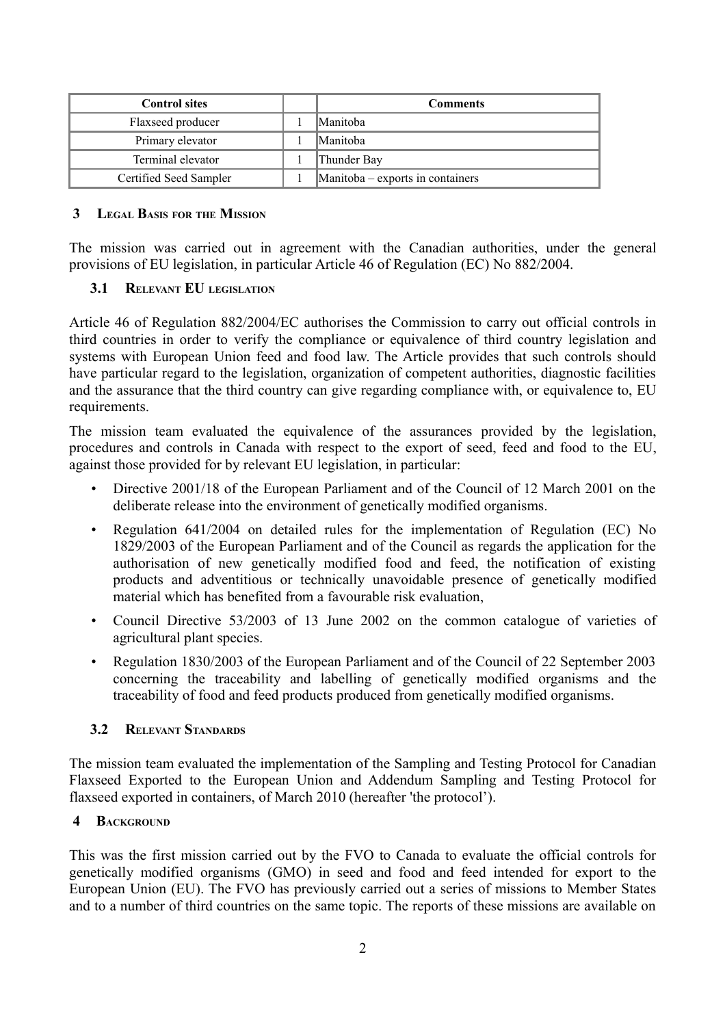| <b>Control sites</b>   | <b>Comments</b>                  |
|------------------------|----------------------------------|
| Flaxseed producer      | Manitoba                         |
| Primary elevator       | <i>Manitoba</i>                  |
| Terminal elevator      | Thunder Bay                      |
| Certified Seed Sampler | Manitoba – exports in containers |

#### **3 LEGAL BASIS FOR THE MISSION**

The mission was carried out in agreement with the Canadian authorities, under the general provisions of EU legislation, in particular Article 46 of Regulation (EC) No 882/2004.

### <span id="page-5-0"></span> **3.1 RELEVANT EU LEGISLATION**

Article 46 of Regulation 882/2004/EC authorises the Commission to carry out official controls in third countries in order to verify the compliance or equivalence of third country legislation and systems with European Union feed and food law. The Article provides that such controls should have particular regard to the legislation, organization of competent authorities, diagnostic facilities and the assurance that the third country can give regarding compliance with, or equivalence to, EU requirements.

The mission team evaluated the equivalence of the assurances provided by the legislation, procedures and controls in Canada with respect to the export of seed, feed and food to the EU, against those provided for by relevant EU legislation, in particular:

- Directive 2001/18 of the European Parliament and of the Council of 12 March 2001 on the deliberate release into the environment of genetically modified organisms.
- Regulation 641/2004 on detailed rules for the implementation of Regulation (EC) No 1829/2003 of the European Parliament and of the Council as regards the application for the authorisation of new genetically modified food and feed, the notification of existing products and adventitious or technically unavoidable presence of genetically modified material which has benefited from a favourable risk evaluation,
- Council Directive 53/2003 of 13 June 2002 on the common catalogue of varieties of agricultural plant species.
- Regulation 1830/2003 of the European Parliament and of the Council of 22 September 2003 concerning the traceability and labelling of genetically modified organisms and the traceability of food and feed products produced from genetically modified organisms.

### <span id="page-5-1"></span> **3.2 RELEVANT STANDARDS**

The mission team evaluated the implementation of the Sampling and Testing Protocol for Canadian Flaxseed Exported to the European Union and Addendum Sampling and Testing Protocol for flaxseed exported in containers, of March 2010 (hereafter 'the protocol').

#### **4 BACKGROUND**

This was the first mission carried out by the FVO to Canada to evaluate the official controls for genetically modified organisms (GMO) in seed and food and feed intended for export to the European Union (EU). The FVO has previously carried out a series of missions to Member States and to a number of third countries on the same topic. The reports of these missions are available on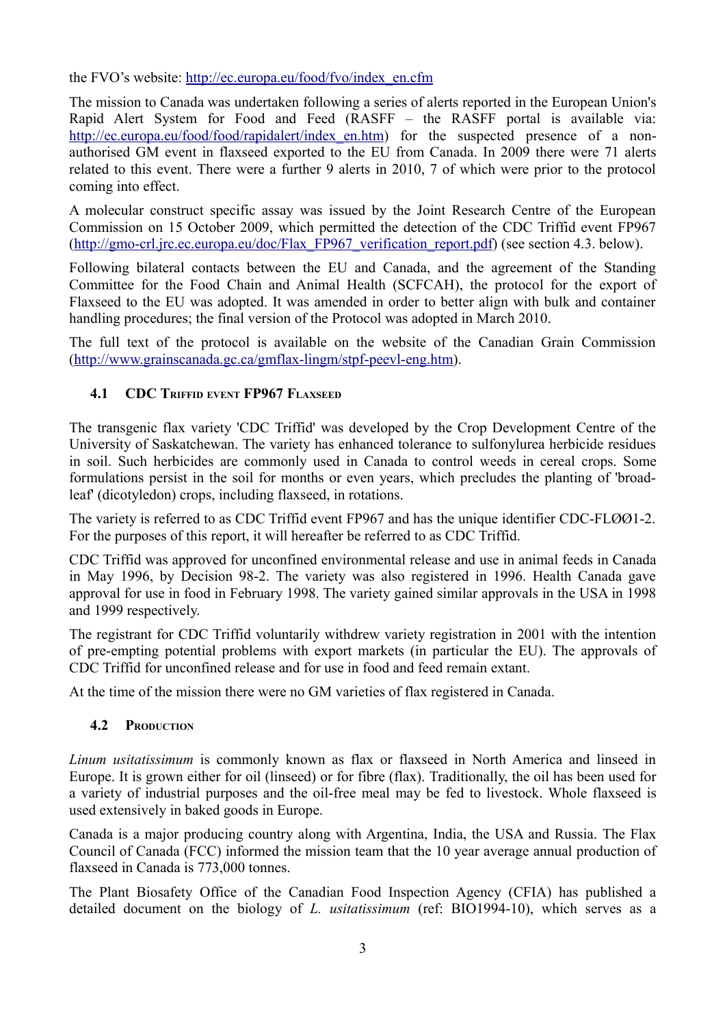the FVO's website: [http://ec.europa.eu/food/fvo/index\\_en.cfm](http://ec.europa.eu/food/fvo/index_en.cfm)

The mission to Canada was undertaken following a series of alerts reported in the European Union's Rapid Alert System for Food and Feed (RASFF – the RASFF portal is available via: [http://ec.europa.eu/food/food/rapidalert/index\\_en.htm\)](http://ec.europa.eu/food/food/rapidalert/index_en.htm) for the suspected presence of a nonauthorised GM event in flaxseed exported to the EU from Canada. In 2009 there were 71 alerts related to this event. There were a further 9 alerts in 2010, 7 of which were prior to the protocol coming into effect.

A molecular construct specific assay was issued by the Joint Research Centre of the European Commission on 15 October 2009, which permitted the detection of the CDC Triffid event FP967 [\(http://gmo-crl.jrc.ec.europa.eu/doc/Flax\\_FP967\\_verification\\_report.pdf\)](http://gmo-crl.jrc.ec.europa.eu/doc/Flax_FP967_verification_report.pdf) (see section 4.3. below).

Following bilateral contacts between the EU and Canada, and the agreement of the Standing Committee for the Food Chain and Animal Health (SCFCAH), the protocol for the export of Flaxseed to the EU was adopted. It was amended in order to better align with bulk and container handling procedures; the final version of the Protocol was adopted in March 2010.

The full text of the protocol is available on the website of the Canadian Grain Commission [\(http://www.grainscanada.gc.ca/gmflax-lingm/stpf-peevl-eng.htm\)](http://www.grainscanada.gc.ca/gmflax-lingm/stpf-peevl-eng.htm).

# <span id="page-6-1"></span> **4.1 CDC TRIFFID EVENT FP967 FLAXSEED**

The transgenic flax variety 'CDC Triffid' was developed by the Crop Development Centre of the University of Saskatchewan. The variety has enhanced tolerance to sulfonylurea herbicide residues in soil. Such herbicides are commonly used in Canada to control weeds in cereal crops. Some formulations persist in the soil for months or even years, which precludes the planting of 'broadleaf' (dicotyledon) crops, including flaxseed, in rotations.

The variety is referred to as CDC Triffid event FP967 and has the unique identifier CDC-FLØØ1-2. For the purposes of this report, it will hereafter be referred to as CDC Triffid.

CDC Triffid was approved for unconfined environmental release and use in animal feeds in Canada in May 1996, by Decision 98-2. The variety was also registered in 1996. Health Canada gave approval for use in food in February 1998. The variety gained similar approvals in the USA in 1998 and 1999 respectively.

The registrant for CDC Triffid voluntarily withdrew variety registration in 2001 with the intention of pre-empting potential problems with export markets (in particular the EU). The approvals of CDC Triffid for unconfined release and for use in food and feed remain extant.

At the time of the mission there were no GM varieties of flax registered in Canada.

### <span id="page-6-0"></span> **4.2 PRODUCTION**

*Linum usitatissimum* is commonly known as flax or flaxseed in North America and linseed in Europe. It is grown either for oil (linseed) or for fibre (flax). Traditionally, the oil has been used for a variety of industrial purposes and the oil-free meal may be fed to livestock. Whole flaxseed is used extensively in baked goods in Europe.

Canada is a major producing country along with Argentina, India, the USA and Russia. The Flax Council of Canada (FCC) informed the mission team that the 10 year average annual production of flaxseed in Canada is 773,000 tonnes.

The Plant Biosafety Office of the Canadian Food Inspection Agency (CFIA) has published a detailed document on the biology of *L. usitatissimum* (ref: BIO1994-10), which serves as a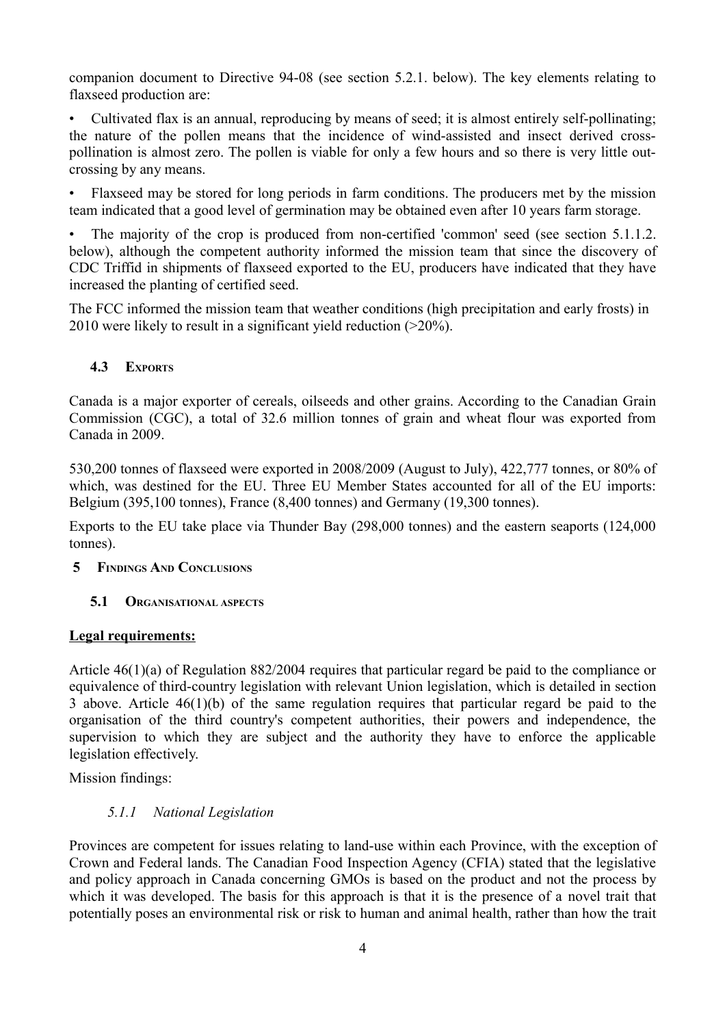companion document to Directive 94-08 (see section 5.2.1. below). The key elements relating to flaxseed production are:

• Cultivated flax is an annual, reproducing by means of seed; it is almost entirely self-pollinating; the nature of the pollen means that the incidence of wind-assisted and insect derived crosspollination is almost zero. The pollen is viable for only a few hours and so there is very little outcrossing by any means.

• Flaxseed may be stored for long periods in farm conditions. The producers met by the mission team indicated that a good level of germination may be obtained even after 10 years farm storage.

The majority of the crop is produced from non-certified 'common' seed (see section 5.1.1.2. below), although the competent authority informed the mission team that since the discovery of CDC Triffid in shipments of flaxseed exported to the EU, producers have indicated that they have increased the planting of certified seed.

The FCC informed the mission team that weather conditions (high precipitation and early frosts) in 2010 were likely to result in a significant yield reduction (>20%).

# <span id="page-7-2"></span> **4.3 EXPORTS**

Canada is a major exporter of cereals, oilseeds and other grains. According to the Canadian Grain Commission (CGC), a total of 32.6 million tonnes of grain and wheat flour was exported from Canada in 2009.

530,200 tonnes of flaxseed were exported in 2008/2009 (August to July), 422,777 tonnes, or 80% of which, was destined for the EU. Three EU Member States accounted for all of the EU imports: Belgium (395,100 tonnes), France (8,400 tonnes) and Germany (19,300 tonnes).

Exports to the EU take place via Thunder Bay (298,000 tonnes) and the eastern seaports (124,000 tonnes).

### **5 FINDINGS AND CONCLUSIONS**

### <span id="page-7-1"></span> **5.1 ORGANISATIONAL ASPECTS**

### **Legal requirements:**

Article 46(1)(a) of Regulation 882/2004 requires that particular regard be paid to the compliance or equivalence of third-country legislation with relevant Union legislation, which is detailed in section 3 above. Article 46(1)(b) of the same regulation requires that particular regard be paid to the organisation of the third country's competent authorities, their powers and independence, the supervision to which they are subject and the authority they have to enforce the applicable legislation effectively.

Mission findings:

### <span id="page-7-0"></span> *5.1.1 National Legislation*

Provinces are competent for issues relating to land-use within each Province, with the exception of Crown and Federal lands. The Canadian Food Inspection Agency (CFIA) stated that the legislative and policy approach in Canada concerning GMOs is based on the product and not the process by which it was developed. The basis for this approach is that it is the presence of a novel trait that potentially poses an environmental risk or risk to human and animal health, rather than how the trait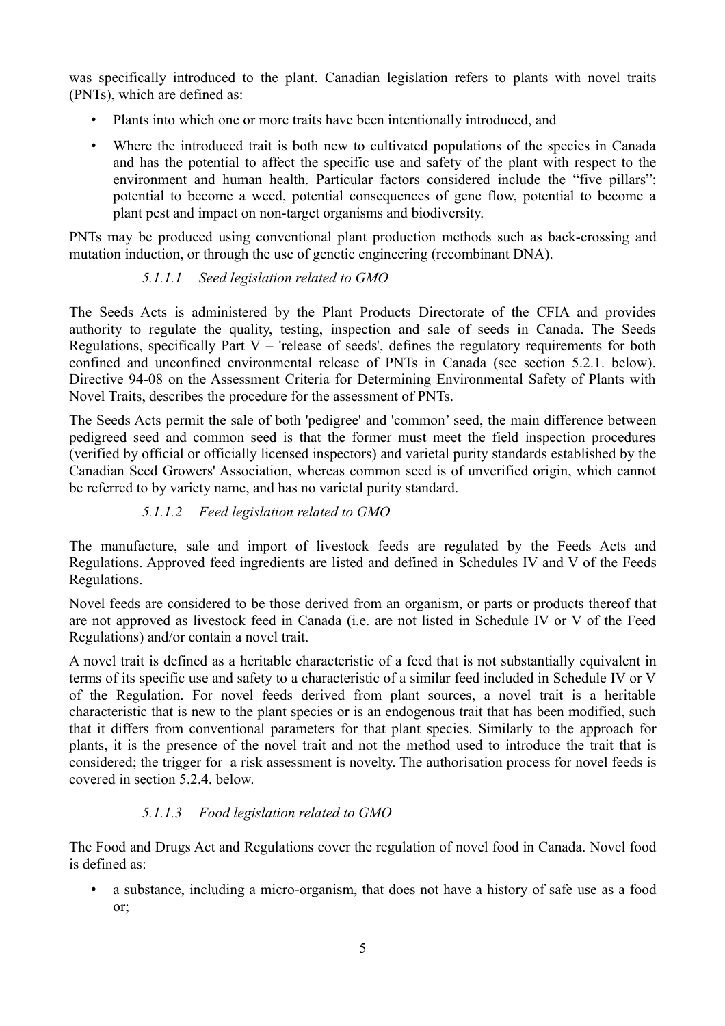was specifically introduced to the plant. Canadian legislation refers to plants with novel traits (PNTs), which are defined as:

- Plants into which one or more traits have been intentionally introduced, and
- Where the introduced trait is both new to cultivated populations of the species in Canada and has the potential to affect the specific use and safety of the plant with respect to the environment and human health. Particular factors considered include the "five pillars": potential to become a weed, potential consequences of gene flow, potential to become a plant pest and impact on non-target organisms and biodiversity.

PNTs may be produced using conventional plant production methods such as back-crossing and mutation induction, or through the use of genetic engineering (recombinant DNA).

# *5.1.1.1 Seed legislation related to GMO*

The Seeds Acts is administered by the Plant Products Directorate of the CFIA and provides authority to regulate the quality, testing, inspection and sale of seeds in Canada. The Seeds Regulations, specifically Part  $V -$  'release of seeds', defines the regulatory requirements for both confined and unconfined environmental release of PNTs in Canada (see section 5.2.1. below). Directive 94-08 on the Assessment Criteria for Determining Environmental Safety of Plants with Novel Traits, describes the procedure for the assessment of PNTs.

The Seeds Acts permit the sale of both 'pedigree' and 'common' seed, the main difference between pedigreed seed and common seed is that the former must meet the field inspection procedures (verified by official or officially licensed inspectors) and varietal purity standards established by the Canadian Seed Growers' Association, whereas common seed is of unverified origin, which cannot be referred to by variety name, and has no varietal purity standard.

### *5.1.1.2 Feed legislation related to GMO*

The manufacture, sale and import of livestock feeds are regulated by the Feeds Acts and Regulations. Approved feed ingredients are listed and defined in Schedules IV and V of the Feeds Regulations.

Novel feeds are considered to be those derived from an organism, or parts or products thereof that are not approved as livestock feed in Canada (i.e. are not listed in Schedule IV or V of the Feed Regulations) and/or contain a novel trait.

A novel trait is defined as a heritable characteristic of a feed that is not substantially equivalent in terms of its specific use and safety to a characteristic of a similar feed included in Schedule IV or V of the Regulation. For novel feeds derived from plant sources, a novel trait is a heritable characteristic that is new to the plant species or is an endogenous trait that has been modified, such that it differs from conventional parameters for that plant species. Similarly to the approach for plants, it is the presence of the novel trait and not the method used to introduce the trait that is considered; the trigger for a risk assessment is novelty. The authorisation process for novel feeds is covered in section 5.2.4. below.

### *5.1.1.3 Food legislation related to GMO*

The Food and Drugs Act and Regulations cover the regulation of novel food in Canada. Novel food is defined as:

• a substance, including a micro-organism, that does not have a history of safe use as a food or;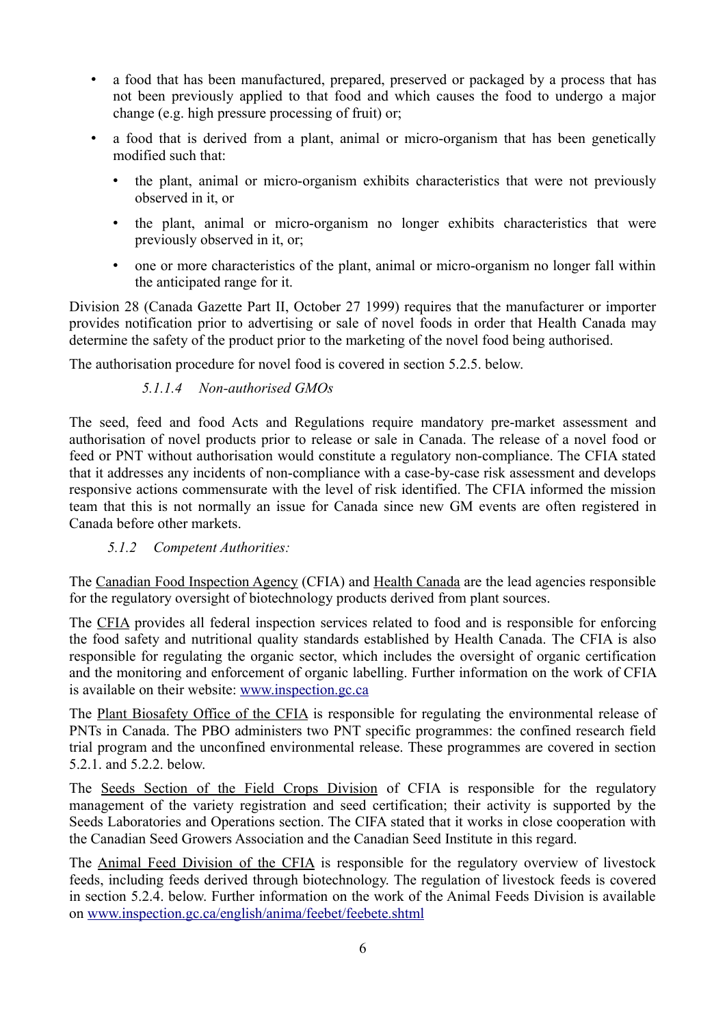- a food that has been manufactured, prepared, preserved or packaged by a process that has not been previously applied to that food and which causes the food to undergo a major change (e.g. high pressure processing of fruit) or;
- a food that is derived from a plant, animal or micro-organism that has been genetically modified such that:
	- the plant, animal or micro-organism exhibits characteristics that were not previously observed in it, or
	- the plant, animal or micro-organism no longer exhibits characteristics that were previously observed in it, or;
	- one or more characteristics of the plant, animal or micro-organism no longer fall within the anticipated range for it.

Division 28 (Canada Gazette Part II, October 27 1999) requires that the manufacturer or importer provides notification prior to advertising or sale of novel foods in order that Health Canada may determine the safety of the product prior to the marketing of the novel food being authorised.

The authorisation procedure for novel food is covered in section 5.2.5. below.

### *5.1.1.4 Non-authorised GMOs*

The seed, feed and food Acts and Regulations require mandatory pre-market assessment and authorisation of novel products prior to release or sale in Canada. The release of a novel food or feed or PNT without authorisation would constitute a regulatory non-compliance. The CFIA stated that it addresses any incidents of non-compliance with a case-by-case risk assessment and develops responsive actions commensurate with the level of risk identified. The CFIA informed the mission team that this is not normally an issue for Canada since new GM events are often registered in Canada before other markets.

### <span id="page-9-0"></span> *5.1.2 Competent Authorities:*

The Canadian Food Inspection Agency (CFIA) and Health Canada are the lead agencies responsible for the regulatory oversight of biotechnology products derived from plant sources.

The CFIA provides all federal inspection services related to food and is responsible for enforcing the food safety and nutritional quality standards established by Health Canada. The CFIA is also responsible for regulating the organic sector, which includes the oversight of organic certification and the monitoring and enforcement of organic labelling. Further information on the work of CFIA is available on their website: [www.inspection.gc.ca](http://www.inspection.gc.ca/)

The Plant Biosafety Office of the CFIA is responsible for regulating the environmental release of PNTs in Canada. The PBO administers two PNT specific programmes: the confined research field trial program and the unconfined environmental release. These programmes are covered in section 5.2.1. and 5.2.2. below.

The Seeds Section of the Field Crops Division of CFIA is responsible for the regulatory management of the variety registration and seed certification; their activity is supported by the Seeds Laboratories and Operations section. The CIFA stated that it works in close cooperation with the Canadian Seed Growers Association and the Canadian Seed Institute in this regard.

The Animal Feed Division of the CFIA is responsible for the regulatory overview of livestock feeds, including feeds derived through biotechnology. The regulation of livestock feeds is covered in section 5.2.4. below. Further information on the work of the Animal Feeds Division is available on [www.inspection.gc.ca/english/anima/feebet/feebete.shtml](http://www.inspection.gc.ca/english/anima/feebet/feebete.shtml)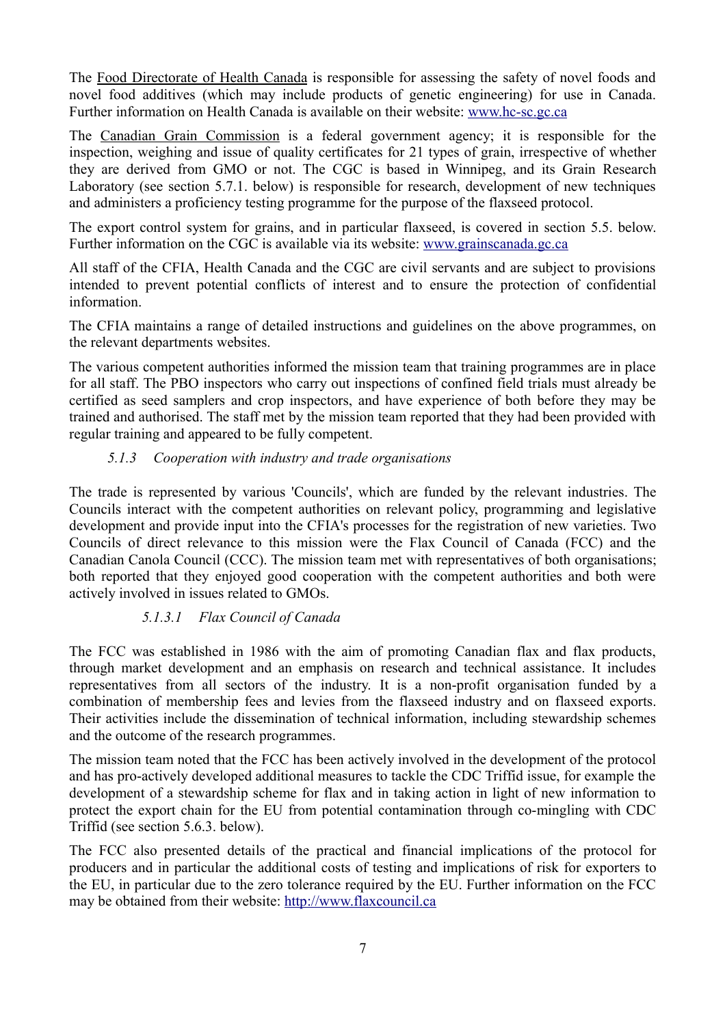The Food Directorate of Health Canada is responsible for assessing the safety of novel foods and novel food additives (which may include products of genetic engineering) for use in Canada. Further information on Health Canada is available on their website: [www.hc-sc.gc.ca](http://www.hc-sc.gc.ca/)

The Canadian Grain Commission is a federal government agency; it is responsible for the inspection, weighing and issue of quality certificates for 21 types of grain, irrespective of whether they are derived from GMO or not. The CGC is based in Winnipeg, and its Grain Research Laboratory (see section 5.7.1. below) is responsible for research, development of new techniques and administers a proficiency testing programme for the purpose of the flaxseed protocol.

The export control system for grains, and in particular flaxseed, is covered in section 5.5. below. Further information on the CGC is available via its website: [www.grainscanada.gc.ca](http://www.grainscanada.gc.ca/)

All staff of the CFIA, Health Canada and the CGC are civil servants and are subject to provisions intended to prevent potential conflicts of interest and to ensure the protection of confidential information.

The CFIA maintains a range of detailed instructions and guidelines on the above programmes, on the relevant departments websites.

The various competent authorities informed the mission team that training programmes are in place for all staff. The PBO inspectors who carry out inspections of confined field trials must already be certified as seed samplers and crop inspectors, and have experience of both before they may be trained and authorised. The staff met by the mission team reported that they had been provided with regular training and appeared to be fully competent.

# <span id="page-10-0"></span> *5.1.3 Cooperation with industry and trade organisations*

The trade is represented by various 'Councils', which are funded by the relevant industries. The Councils interact with the competent authorities on relevant policy, programming and legislative development and provide input into the CFIA's processes for the registration of new varieties. Two Councils of direct relevance to this mission were the Flax Council of Canada (FCC) and the Canadian Canola Council (CCC). The mission team met with representatives of both organisations; both reported that they enjoyed good cooperation with the competent authorities and both were actively involved in issues related to GMOs.

### *5.1.3.1 Flax Council of Canada*

The FCC was established in 1986 with the aim of promoting Canadian flax and flax products, through market development and an emphasis on research and technical assistance. It includes representatives from all sectors of the industry. It is a non-profit organisation funded by a combination of membership fees and levies from the flaxseed industry and on flaxseed exports. Their activities include the dissemination of technical information, including stewardship schemes and the outcome of the research programmes.

The mission team noted that the FCC has been actively involved in the development of the protocol and has pro-actively developed additional measures to tackle the CDC Triffid issue, for example the development of a stewardship scheme for flax and in taking action in light of new information to protect the export chain for the EU from potential contamination through co-mingling with CDC Triffid (see section 5.6.3. below).

The FCC also presented details of the practical and financial implications of the protocol for producers and in particular the additional costs of testing and implications of risk for exporters to the EU, in particular due to the zero tolerance required by the EU. Further information on the FCC may be obtained from their website: [http://www.flaxcouncil.ca](http://www.flaxcouncil.ca/)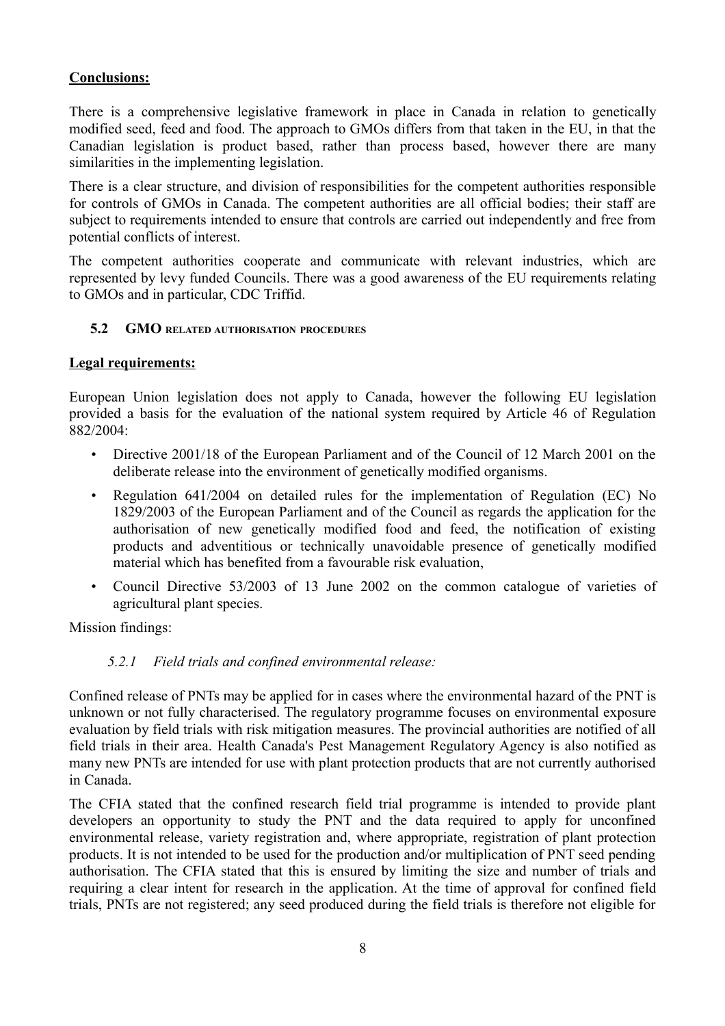# **Conclusions:**

There is a comprehensive legislative framework in place in Canada in relation to genetically modified seed, feed and food. The approach to GMOs differs from that taken in the EU, in that the Canadian legislation is product based, rather than process based, however there are many similarities in the implementing legislation.

There is a clear structure, and division of responsibilities for the competent authorities responsible for controls of GMOs in Canada. The competent authorities are all official bodies; their staff are subject to requirements intended to ensure that controls are carried out independently and free from potential conflicts of interest.

The competent authorities cooperate and communicate with relevant industries, which are represented by levy funded Councils. There was a good awareness of the EU requirements relating to GMOs and in particular, CDC Triffid.

### <span id="page-11-1"></span> **5.2 GMO RELATED AUTHORISATION PROCEDURES**

### **Legal requirements:**

European Union legislation does not apply to Canada, however the following EU legislation provided a basis for the evaluation of the national system required by Article 46 of Regulation 882/2004:

- Directive 2001/18 of the European Parliament and of the Council of 12 March 2001 on the deliberate release into the environment of genetically modified organisms.
- Regulation 641/2004 on detailed rules for the implementation of Regulation (EC) No 1829/2003 of the European Parliament and of the Council as regards the application for the authorisation of new genetically modified food and feed, the notification of existing products and adventitious or technically unavoidable presence of genetically modified material which has benefited from a favourable risk evaluation,
- Council Directive 53/2003 of 13 June 2002 on the common catalogue of varieties of agricultural plant species.

Mission findings:

### <span id="page-11-0"></span> *5.2.1 Field trials and confined environmental release:*

Confined release of PNTs may be applied for in cases where the environmental hazard of the PNT is unknown or not fully characterised. The regulatory programme focuses on environmental exposure evaluation by field trials with risk mitigation measures. The provincial authorities are notified of all field trials in their area. Health Canada's Pest Management Regulatory Agency is also notified as many new PNTs are intended for use with plant protection products that are not currently authorised in Canada.

The CFIA stated that the confined research field trial programme is intended to provide plant developers an opportunity to study the PNT and the data required to apply for unconfined environmental release, variety registration and, where appropriate, registration of plant protection products. It is not intended to be used for the production and/or multiplication of PNT seed pending authorisation. The CFIA stated that this is ensured by limiting the size and number of trials and requiring a clear intent for research in the application. At the time of approval for confined field trials, PNTs are not registered; any seed produced during the field trials is therefore not eligible for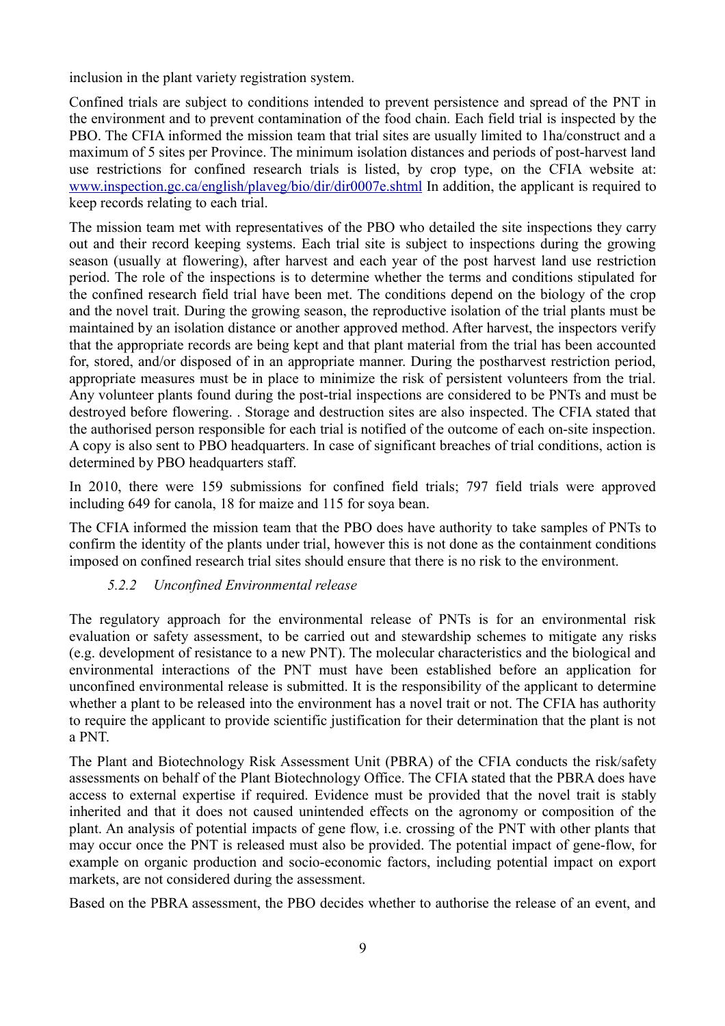inclusion in the plant variety registration system.

Confined trials are subject to conditions intended to prevent persistence and spread of the PNT in the environment and to prevent contamination of the food chain. Each field trial is inspected by the PBO. The CFIA informed the mission team that trial sites are usually limited to 1ha/construct and a maximum of 5 sites per Province. The minimum isolation distances and periods of post-harvest land use restrictions for confined research trials is listed, by crop type, on the CFIA website at: [www.inspection.gc.ca/english/plaveg/bio/dir/dir0007e.shtml](http://www.inspection.gc.ca/english/plaveg/bio/dir/dir0007e.shtml) In addition, the applicant is required to keep records relating to each trial.

The mission team met with representatives of the PBO who detailed the site inspections they carry out and their record keeping systems. Each trial site is subject to inspections during the growing season (usually at flowering), after harvest and each year of the post harvest land use restriction period. The role of the inspections is to determine whether the terms and conditions stipulated for the confined research field trial have been met. The conditions depend on the biology of the crop and the novel trait. During the growing season, the reproductive isolation of the trial plants must be maintained by an isolation distance or another approved method. After harvest, the inspectors verify that the appropriate records are being kept and that plant material from the trial has been accounted for, stored, and/or disposed of in an appropriate manner. During the postharvest restriction period, appropriate measures must be in place to minimize the risk of persistent volunteers from the trial. Any volunteer plants found during the post-trial inspections are considered to be PNTs and must be destroyed before flowering. . Storage and destruction sites are also inspected. The CFIA stated that the authorised person responsible for each trial is notified of the outcome of each on-site inspection. A copy is also sent to PBO headquarters. In case of significant breaches of trial conditions, action is determined by PBO headquarters staff.

In 2010, there were 159 submissions for confined field trials; 797 field trials were approved including 649 for canola, 18 for maize and 115 for soya bean.

The CFIA informed the mission team that the PBO does have authority to take samples of PNTs to confirm the identity of the plants under trial, however this is not done as the containment conditions imposed on confined research trial sites should ensure that there is no risk to the environment.

### <span id="page-12-0"></span> *5.2.2 Unconfined Environmental release*

The regulatory approach for the environmental release of PNTs is for an environmental risk evaluation or safety assessment, to be carried out and stewardship schemes to mitigate any risks (e.g. development of resistance to a new PNT). The molecular characteristics and the biological and environmental interactions of the PNT must have been established before an application for unconfined environmental release is submitted. It is the responsibility of the applicant to determine whether a plant to be released into the environment has a novel trait or not. The CFIA has authority to require the applicant to provide scientific justification for their determination that the plant is not a PNT.

The Plant and Biotechnology Risk Assessment Unit (PBRA) of the CFIA conducts the risk/safety assessments on behalf of the Plant Biotechnology Office. The CFIA stated that the PBRA does have access to external expertise if required. Evidence must be provided that the novel trait is stably inherited and that it does not caused unintended effects on the agronomy or composition of the plant. An analysis of potential impacts of gene flow, i.e. crossing of the PNT with other plants that may occur once the PNT is released must also be provided. The potential impact of gene-flow, for example on organic production and socio-economic factors, including potential impact on export markets, are not considered during the assessment.

Based on the PBRA assessment, the PBO decides whether to authorise the release of an event, and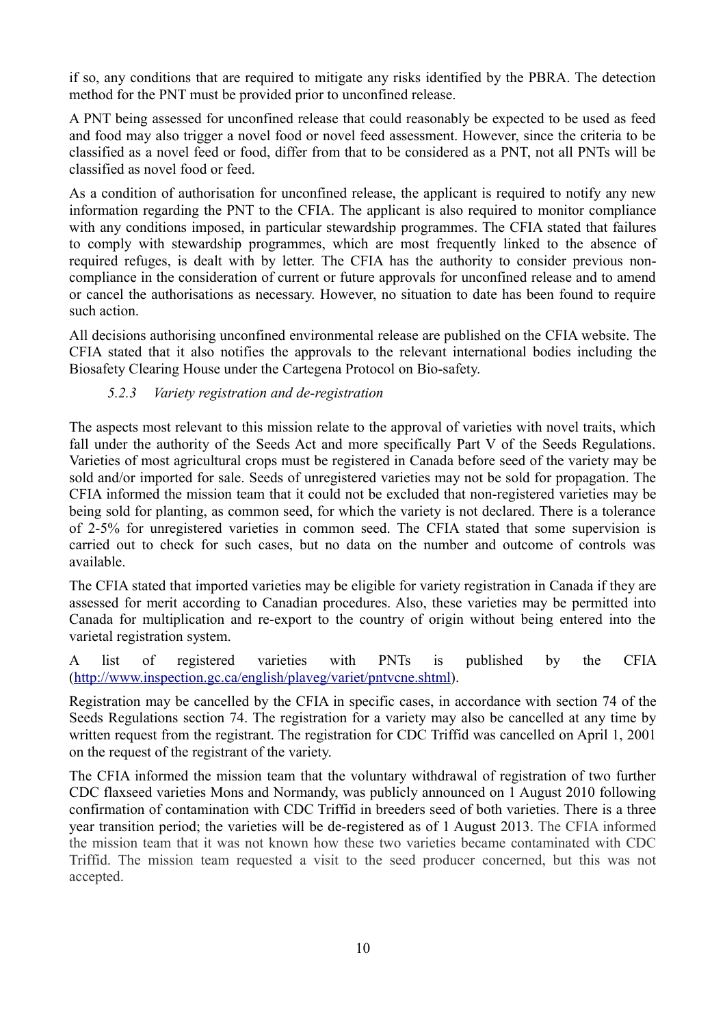if so, any conditions that are required to mitigate any risks identified by the PBRA. The detection method for the PNT must be provided prior to unconfined release.

A PNT being assessed for unconfined release that could reasonably be expected to be used as feed and food may also trigger a novel food or novel feed assessment. However, since the criteria to be classified as a novel feed or food, differ from that to be considered as a PNT, not all PNTs will be classified as novel food or feed.

As a condition of authorisation for unconfined release, the applicant is required to notify any new information regarding the PNT to the CFIA. The applicant is also required to monitor compliance with any conditions imposed, in particular stewardship programmes. The CFIA stated that failures to comply with stewardship programmes, which are most frequently linked to the absence of required refuges, is dealt with by letter. The CFIA has the authority to consider previous noncompliance in the consideration of current or future approvals for unconfined release and to amend or cancel the authorisations as necessary. However, no situation to date has been found to require such action.

All decisions authorising unconfined environmental release are published on the CFIA website. The CFIA stated that it also notifies the approvals to the relevant international bodies including the Biosafety Clearing House under the Cartegena Protocol on Bio-safety.

# <span id="page-13-0"></span> *5.2.3 Variety registration and de-registration*

The aspects most relevant to this mission relate to the approval of varieties with novel traits, which fall under the authority of the Seeds Act and more specifically Part V of the Seeds Regulations. Varieties of most agricultural crops must be registered in Canada before seed of the variety may be sold and/or imported for sale. Seeds of unregistered varieties may not be sold for propagation. The CFIA informed the mission team that it could not be excluded that non-registered varieties may be being sold for planting, as common seed, for which the variety is not declared. There is a tolerance of 2-5% for unregistered varieties in common seed. The CFIA stated that some supervision is carried out to check for such cases, but no data on the number and outcome of controls was available.

The CFIA stated that imported varieties may be eligible for variety registration in Canada if they are assessed for merit according to Canadian procedures. Also, these varieties may be permitted into Canada for multiplication and re-export to the country of origin without being entered into the varietal registration system.

A list of registered varieties with PNTs is published by the CFIA [\(http://www.inspection.gc.ca/english/plaveg/variet/pntvcne.shtml\)](http://www.inspection.gc.ca/english/plaveg/variet/pntvcne.shtml).

Registration may be cancelled by the CFIA in specific cases, in accordance with section 74 of the Seeds Regulations section 74. The registration for a variety may also be cancelled at any time by written request from the registrant. The registration for CDC Triffid was cancelled on April 1, 2001 on the request of the registrant of the variety.

The CFIA informed the mission team that the voluntary withdrawal of registration of two further CDC flaxseed varieties Mons and Normandy, was publicly announced on 1 August 2010 following confirmation of contamination with CDC Triffid in breeders seed of both varieties. There is a three year transition period; the varieties will be de-registered as of 1 August 2013. The CFIA informed the mission team that it was not known how these two varieties became contaminated with CDC Triffid. The mission team requested a visit to the seed producer concerned, but this was not accepted.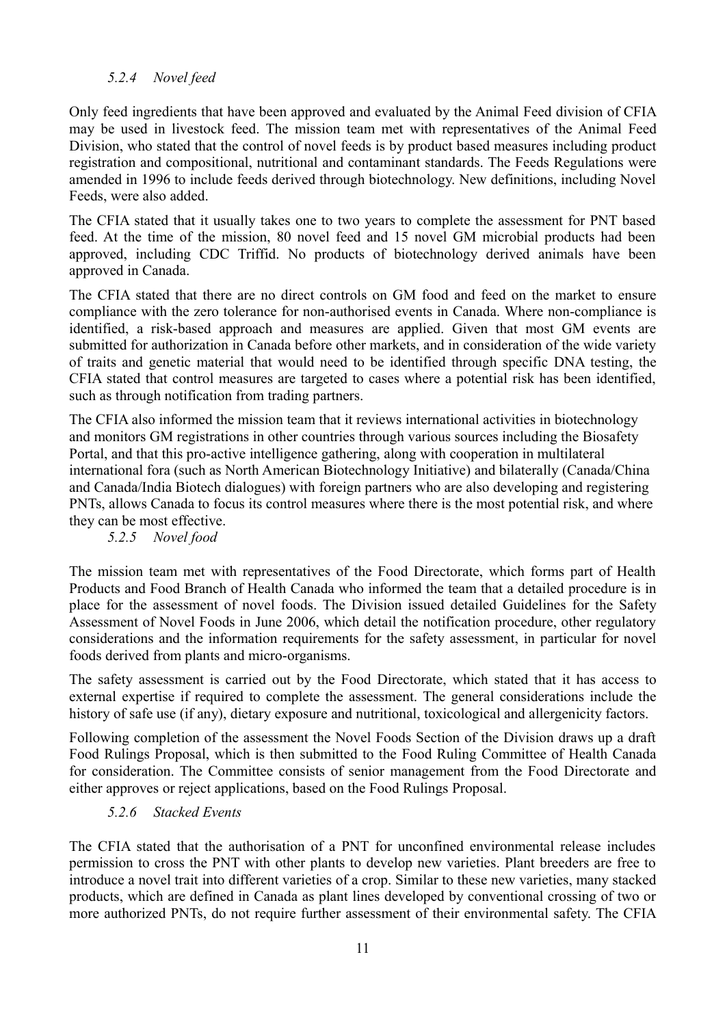### <span id="page-14-2"></span> *5.2.4 Novel feed*

Only feed ingredients that have been approved and evaluated by the Animal Feed division of CFIA may be used in livestock feed. The mission team met with representatives of the Animal Feed Division, who stated that the control of novel feeds is by product based measures including product registration and compositional, nutritional and contaminant standards. The Feeds Regulations were amended in 1996 to include feeds derived through biotechnology. New definitions, including Novel Feeds, were also added.

The CFIA stated that it usually takes one to two years to complete the assessment for PNT based feed. At the time of the mission, 80 novel feed and 15 novel GM microbial products had been approved, including CDC Triffid. No products of biotechnology derived animals have been approved in Canada.

The CFIA stated that there are no direct controls on GM food and feed on the market to ensure compliance with the zero tolerance for non-authorised events in Canada. Where non-compliance is identified, a risk-based approach and measures are applied. Given that most GM events are submitted for authorization in Canada before other markets, and in consideration of the wide variety of traits and genetic material that would need to be identified through specific DNA testing, the CFIA stated that control measures are targeted to cases where a potential risk has been identified, such as through notification from trading partners.

The CFIA also informed the mission team that it reviews international activities in biotechnology and monitors GM registrations in other countries through various sources including the Biosafety Portal, and that this pro-active intelligence gathering, along with cooperation in multilateral international fora (such as North American Biotechnology Initiative) and bilaterally (Canada/China and Canada/India Biotech dialogues) with foreign partners who are also developing and registering PNTs, allows Canada to focus its control measures where there is the most potential risk, and where they can be most effective.

### <span id="page-14-1"></span> *5.2.5 Novel food*

The mission team met with representatives of the Food Directorate, which forms part of Health Products and Food Branch of Health Canada who informed the team that a detailed procedure is in place for the assessment of novel foods. The Division issued detailed Guidelines for the Safety Assessment of Novel Foods in June 2006, which detail the notification procedure, other regulatory considerations and the information requirements for the safety assessment, in particular for novel foods derived from plants and micro-organisms.

The safety assessment is carried out by the Food Directorate, which stated that it has access to external expertise if required to complete the assessment. The general considerations include the history of safe use (if any), dietary exposure and nutritional, toxicological and allergenicity factors.

Following completion of the assessment the Novel Foods Section of the Division draws up a draft Food Rulings Proposal, which is then submitted to the Food Ruling Committee of Health Canada for consideration. The Committee consists of senior management from the Food Directorate and either approves or reject applications, based on the Food Rulings Proposal.

#### <span id="page-14-0"></span> *5.2.6 Stacked Events*

The CFIA stated that the authorisation of a PNT for unconfined environmental release includes permission to cross the PNT with other plants to develop new varieties. Plant breeders are free to introduce a novel trait into different varieties of a crop. Similar to these new varieties, many stacked products, which are defined in Canada as plant lines developed by conventional crossing of two or more authorized PNTs, do not require further assessment of their environmental safety. The CFIA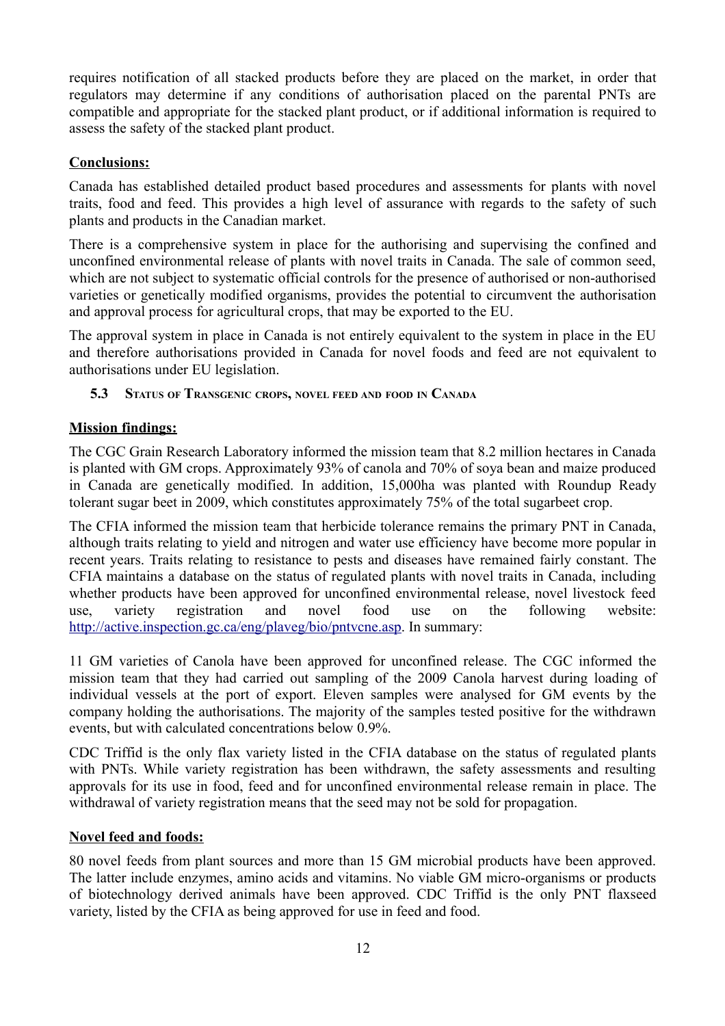requires notification of all stacked products before they are placed on the market, in order that regulators may determine if any conditions of authorisation placed on the parental PNTs are compatible and appropriate for the stacked plant product, or if additional information is required to assess the safety of the stacked plant product.

### **Conclusions:**

Canada has established detailed product based procedures and assessments for plants with novel traits, food and feed. This provides a high level of assurance with regards to the safety of such plants and products in the Canadian market.

There is a comprehensive system in place for the authorising and supervising the confined and unconfined environmental release of plants with novel traits in Canada. The sale of common seed, which are not subject to systematic official controls for the presence of authorised or non-authorised varieties or genetically modified organisms, provides the potential to circumvent the authorisation and approval process for agricultural crops, that may be exported to the EU.

The approval system in place in Canada is not entirely equivalent to the system in place in the EU and therefore authorisations provided in Canada for novel foods and feed are not equivalent to authorisations under EU legislation.

### <span id="page-15-0"></span> **5.3 STATUS OF TRANSGENIC CROPS, NOVEL FEED AND FOOD IN CANADA**

# **Mission findings:**

The CGC Grain Research Laboratory informed the mission team that 8.2 million hectares in Canada is planted with GM crops. Approximately 93% of canola and 70% of soya bean and maize produced in Canada are genetically modified. In addition, 15,000ha was planted with Roundup Ready tolerant sugar beet in 2009, which constitutes approximately 75% of the total sugarbeet crop.

The CFIA informed the mission team that herbicide tolerance remains the primary PNT in Canada, although traits relating to yield and nitrogen and water use efficiency have become more popular in recent years. Traits relating to resistance to pests and diseases have remained fairly constant. The CFIA maintains a database on the status of regulated plants with novel traits in Canada, including whether products have been approved for unconfined environmental release, novel livestock feed use, variety registration and novel food use on the following website: [http://active.inspection.gc.ca/eng/plaveg/bio/pntvcne.asp.](http://active.inspection.gc.ca/eng/plaveg/bio/pntvcne.asp) In summary:

11 GM varieties of Canola have been approved for unconfined release. The CGC informed the mission team that they had carried out sampling of the 2009 Canola harvest during loading of individual vessels at the port of export. Eleven samples were analysed for GM events by the company holding the authorisations. The majority of the samples tested positive for the withdrawn events, but with calculated concentrations below 0.9%.

CDC Triffid is the only flax variety listed in the CFIA database on the status of regulated plants with PNTs. While variety registration has been withdrawn, the safety assessments and resulting approvals for its use in food, feed and for unconfined environmental release remain in place. The withdrawal of variety registration means that the seed may not be sold for propagation.

# **Novel feed and foods:**

80 novel feeds from plant sources and more than 15 GM microbial products have been approved. The latter include enzymes, amino acids and vitamins. No viable GM micro-organisms or products of biotechnology derived animals have been approved. CDC Triffid is the only PNT flaxseed variety, listed by the CFIA as being approved for use in feed and food.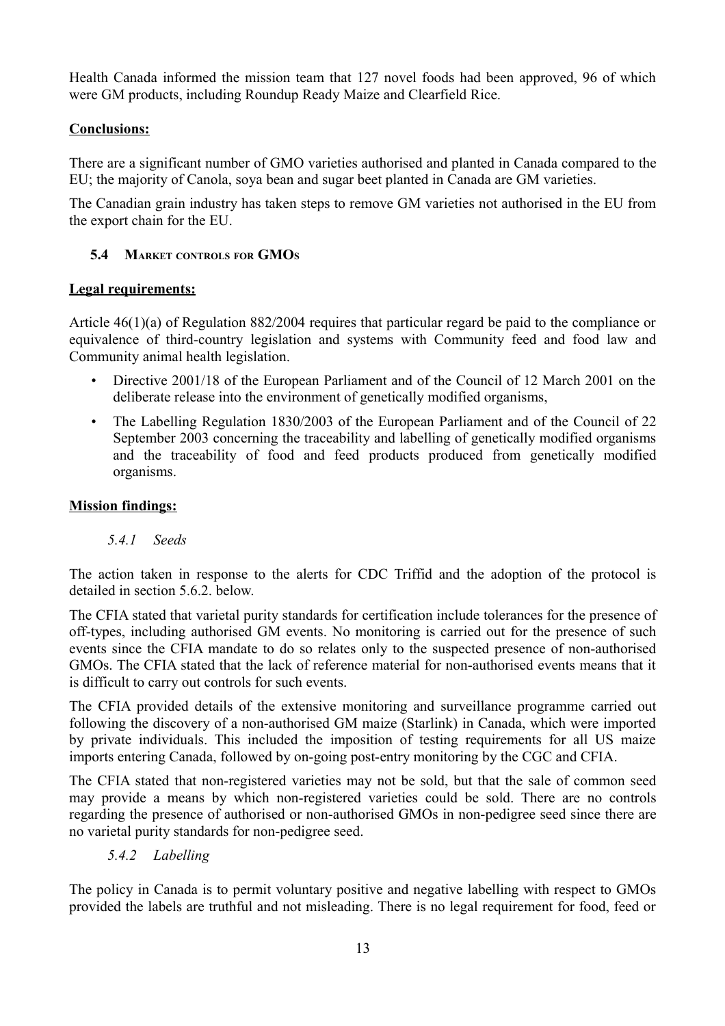Health Canada informed the mission team that 127 novel foods had been approved, 96 of which were GM products, including Roundup Ready Maize and Clearfield Rice.

# **Conclusions:**

There are a significant number of GMO varieties authorised and planted in Canada compared to the EU; the majority of Canola, soya bean and sugar beet planted in Canada are GM varieties.

The Canadian grain industry has taken steps to remove GM varieties not authorised in the EU from the export chain for the EU.

### <span id="page-16-2"></span> **5.4 MARKET CONTROLS FOR GMO<sup>S</sup>**

### **Legal requirements:**

Article 46(1)(a) of Regulation 882/2004 requires that particular regard be paid to the compliance or equivalence of third-country legislation and systems with Community feed and food law and Community animal health legislation.

- Directive 2001/18 of the European Parliament and of the Council of 12 March 2001 on the deliberate release into the environment of genetically modified organisms,
- The Labelling Regulation 1830/2003 of the European Parliament and of the Council of 22 September 2003 concerning the traceability and labelling of genetically modified organisms and the traceability of food and feed products produced from genetically modified organisms.

### **Mission findings:**

### <span id="page-16-1"></span> *5.4.1 Seeds*

The action taken in response to the alerts for CDC Triffid and the adoption of the protocol is detailed in section 5.6.2. below.

The CFIA stated that varietal purity standards for certification include tolerances for the presence of off-types, including authorised GM events. No monitoring is carried out for the presence of such events since the CFIA mandate to do so relates only to the suspected presence of non-authorised GMOs. The CFIA stated that the lack of reference material for non-authorised events means that it is difficult to carry out controls for such events.

The CFIA provided details of the extensive monitoring and surveillance programme carried out following the discovery of a non-authorised GM maize (Starlink) in Canada, which were imported by private individuals. This included the imposition of testing requirements for all US maize imports entering Canada, followed by on-going post-entry monitoring by the CGC and CFIA.

The CFIA stated that non-registered varieties may not be sold, but that the sale of common seed may provide a means by which non-registered varieties could be sold. There are no controls regarding the presence of authorised or non-authorised GMOs in non-pedigree seed since there are no varietal purity standards for non-pedigree seed.

### <span id="page-16-0"></span> *5.4.2 Labelling*

The policy in Canada is to permit voluntary positive and negative labelling with respect to GMOs provided the labels are truthful and not misleading. There is no legal requirement for food, feed or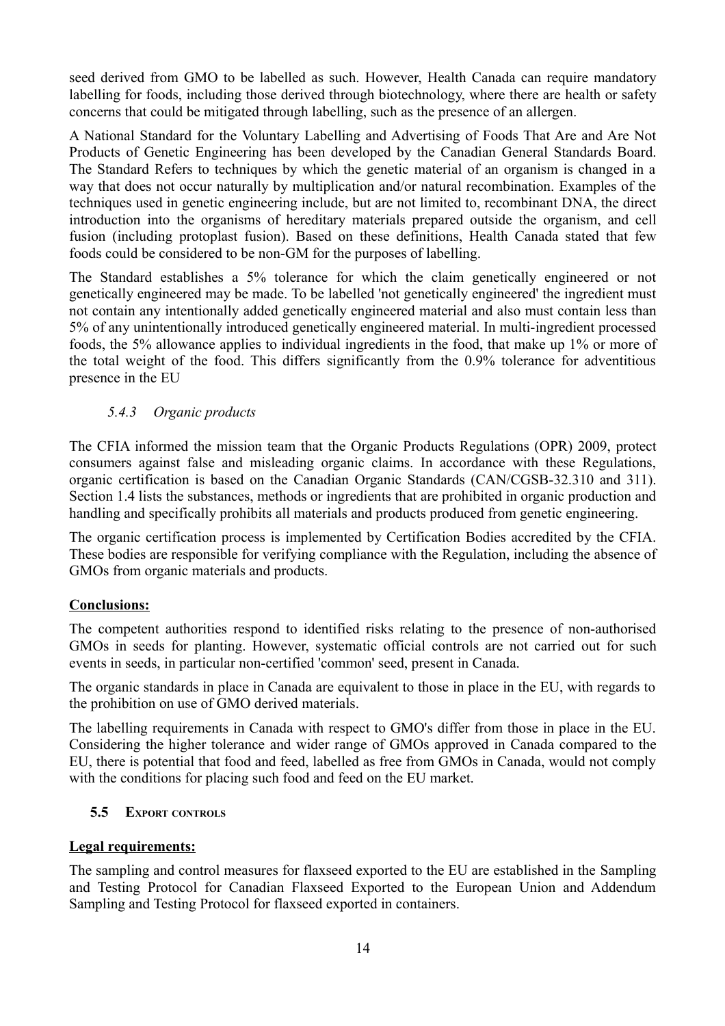seed derived from GMO to be labelled as such. However, Health Canada can require mandatory labelling for foods, including those derived through biotechnology, where there are health or safety concerns that could be mitigated through labelling, such as the presence of an allergen.

A National Standard for the Voluntary Labelling and Advertising of Foods That Are and Are Not Products of Genetic Engineering has been developed by the Canadian General Standards Board. The Standard Refers to techniques by which the genetic material of an organism is changed in a way that does not occur naturally by multiplication and/or natural recombination. Examples of the techniques used in genetic engineering include, but are not limited to, recombinant DNA, the direct introduction into the organisms of hereditary materials prepared outside the organism, and cell fusion (including protoplast fusion). Based on these definitions, Health Canada stated that few foods could be considered to be non-GM for the purposes of labelling.

The Standard establishes a 5% tolerance for which the claim genetically engineered or not genetically engineered may be made. To be labelled 'not genetically engineered' the ingredient must not contain any intentionally added genetically engineered material and also must contain less than 5% of any unintentionally introduced genetically engineered material. In multi-ingredient processed foods, the 5% allowance applies to individual ingredients in the food, that make up 1% or more of the total weight of the food. This differs significantly from the 0.9% tolerance for adventitious presence in the EU

# <span id="page-17-1"></span> *5.4.3 Organic products*

The CFIA informed the mission team that the Organic Products Regulations (OPR) 2009, protect consumers against false and misleading organic claims. In accordance with these Regulations, organic certification is based on the Canadian Organic Standards (CAN/CGSB-32.310 and 311). Section 1.4 lists the substances, methods or ingredients that are prohibited in organic production and handling and specifically prohibits all materials and products produced from genetic engineering.

The organic certification process is implemented by Certification Bodies accredited by the CFIA. These bodies are responsible for verifying compliance with the Regulation, including the absence of GMOs from organic materials and products.

### **Conclusions:**

The competent authorities respond to identified risks relating to the presence of non-authorised GMOs in seeds for planting. However, systematic official controls are not carried out for such events in seeds, in particular non-certified 'common' seed, present in Canada.

The organic standards in place in Canada are equivalent to those in place in the EU, with regards to the prohibition on use of GMO derived materials.

The labelling requirements in Canada with respect to GMO's differ from those in place in the EU. Considering the higher tolerance and wider range of GMOs approved in Canada compared to the EU, there is potential that food and feed, labelled as free from GMOs in Canada, would not comply with the conditions for placing such food and feed on the EU market.

### <span id="page-17-0"></span> **5.5 EXPORT CONTROLS**

### **Legal requirements:**

The sampling and control measures for flaxseed exported to the EU are established in the Sampling and Testing Protocol for Canadian Flaxseed Exported to the European Union and Addendum Sampling and Testing Protocol for flaxseed exported in containers.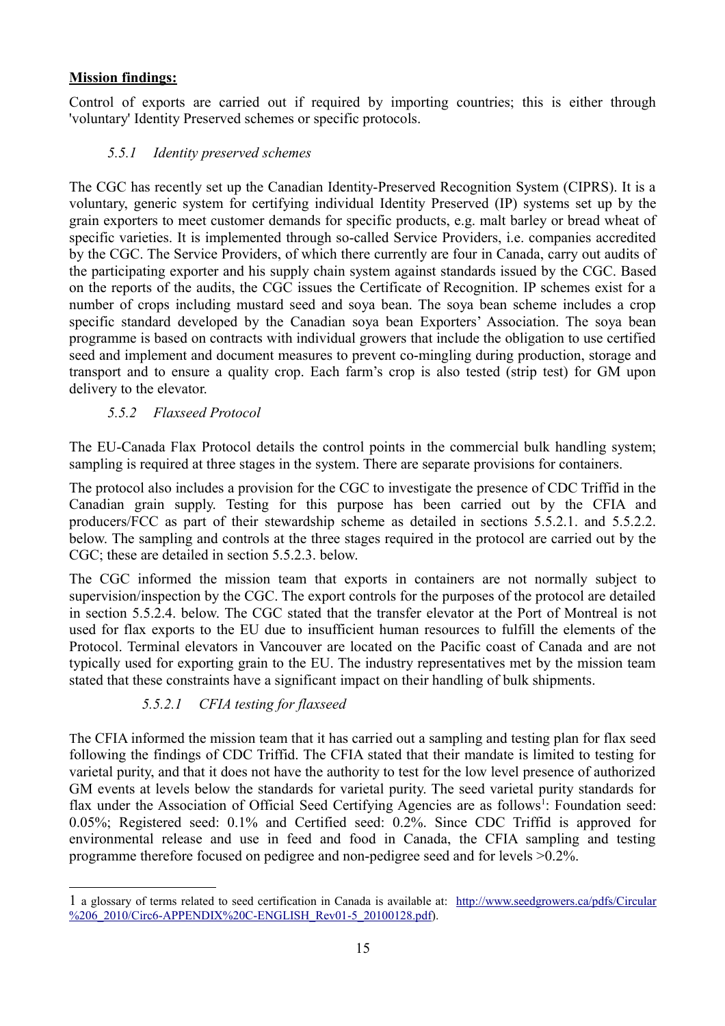# **Mission findings:**

Control of exports are carried out if required by importing countries; this is either through 'voluntary' Identity Preserved schemes or specific protocols.

# <span id="page-18-1"></span> *5.5.1 Identity preserved schemes*

The CGC has recently set up the Canadian Identity-Preserved Recognition System (CIPRS). It is a voluntary, generic system for certifying individual Identity Preserved (IP) systems set up by the grain exporters to meet customer demands for specific products, e.g. malt barley or bread wheat of specific varieties. It is implemented through so-called Service Providers, i.e. companies accredited by the CGC. The Service Providers, of which there currently are four in Canada, carry out audits of the participating exporter and his supply chain system against standards issued by the CGC. Based on the reports of the audits, the CGC issues the Certificate of Recognition. IP schemes exist for a number of crops including mustard seed and soya bean. The soya bean scheme includes a crop specific standard developed by the Canadian soya bean Exporters' Association. The soya bean programme is based on contracts with individual growers that include the obligation to use certified seed and implement and document measures to prevent co-mingling during production, storage and transport and to ensure a quality crop. Each farm's crop is also tested (strip test) for GM upon delivery to the elevator.

# <span id="page-18-0"></span> *5.5.2 Flaxseed Protocol*

The EU-Canada Flax Protocol details the control points in the commercial bulk handling system; sampling is required at three stages in the system. There are separate provisions for containers.

The protocol also includes a provision for the CGC to investigate the presence of CDC Triffid in the Canadian grain supply. Testing for this purpose has been carried out by the CFIA and producers/FCC as part of their stewardship scheme as detailed in sections 5.5.2.1. and 5.5.2.2. below. The sampling and controls at the three stages required in the protocol are carried out by the CGC; these are detailed in section 5.5.2.3. below.

The CGC informed the mission team that exports in containers are not normally subject to supervision/inspection by the CGC. The export controls for the purposes of the protocol are detailed in section 5.5.2.4. below. The CGC stated that the transfer elevator at the Port of Montreal is not used for flax exports to the EU due to insufficient human resources to fulfill the elements of the Protocol. Terminal elevators in Vancouver are located on the Pacific coast of Canada and are not typically used for exporting grain to the EU. The industry representatives met by the mission team stated that these constraints have a significant impact on their handling of bulk shipments.

# *5.5.2.1 CFIA testing for flaxseed*

The CFIA informed the mission team that it has carried out a sampling and testing plan for flax seed following the findings of CDC Triffid. The CFIA stated that their mandate is limited to testing for varietal purity, and that it does not have the authority to test for the low level presence of authorized GM events at levels below the standards for varietal purity. The seed varietal purity standards for flax under the Association of Official Seed Certifying Agencies are as follows<sup>[1](#page-18-2)</sup>: Foundation seed: 0.05%; Registered seed: 0.1% and Certified seed: 0.2%. Since CDC Triffid is approved for environmental release and use in feed and food in Canada, the CFIA sampling and testing programme therefore focused on pedigree and non-pedigree seed and for levels >0.2%.

<span id="page-18-2"></span><sup>1</sup> a glossary of terms related to seed certification in Canada is available at: [http://www.seedgrowers.ca/pdfs/Circular](http://www.seedgrowers.ca/pdfs/Circular%206_2010/Circ6-APPENDIX%20C-ENGLISH_Rev01-5_20100128.pdf) [%206\\_2010/Circ6-APPENDIX%20C-ENGLISH\\_Rev01-5\\_20100128.pdf\)](http://www.seedgrowers.ca/pdfs/Circular%206_2010/Circ6-APPENDIX%20C-ENGLISH_Rev01-5_20100128.pdf).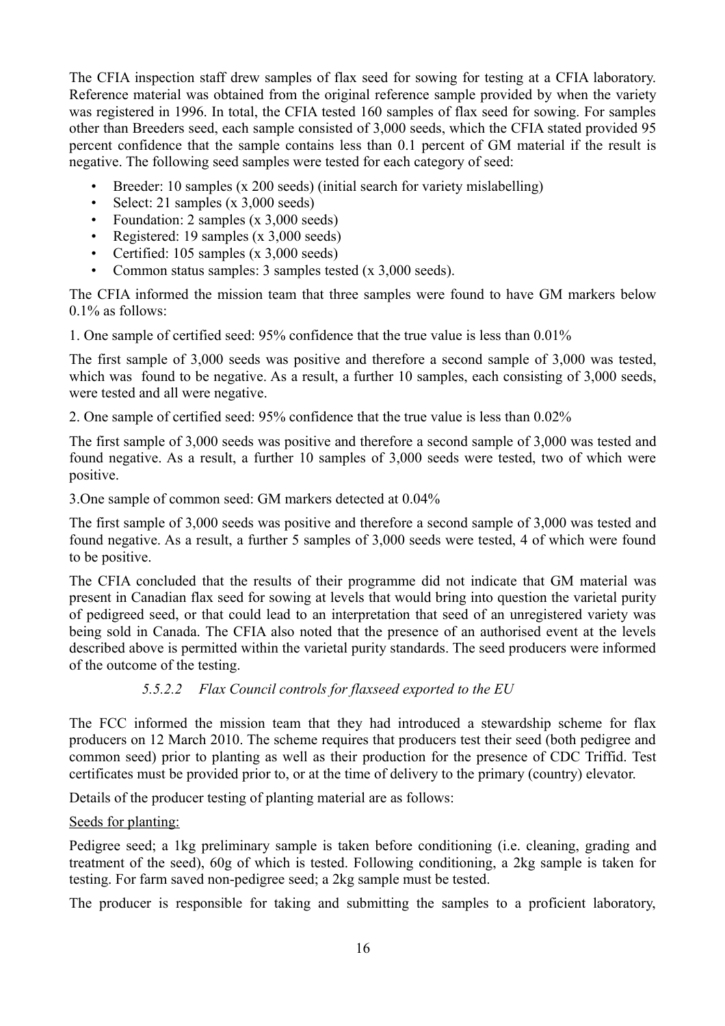The CFIA inspection staff drew samples of flax seed for sowing for testing at a CFIA laboratory. Reference material was obtained from the original reference sample provided by when the variety was registered in 1996. In total, the CFIA tested 160 samples of flax seed for sowing. For samples other than Breeders seed, each sample consisted of 3,000 seeds, which the CFIA stated provided 95 percent confidence that the sample contains less than 0.1 percent of GM material if the result is negative. The following seed samples were tested for each category of seed:

- Breeder: 10 samples (x 200 seeds) (initial search for variety mislabelling)
- Select: 21 samples (x 3,000 seeds)
- Foundation: 2 samples (x 3,000 seeds)
- Registered: 19 samples (x 3,000 seeds)
- Certified: 105 samples (x 3,000 seeds)
- Common status samples: 3 samples tested (x 3,000 seeds).

The CFIA informed the mission team that three samples were found to have GM markers below 0.1% as follows:

1. One sample of certified seed: 95% confidence that the true value is less than 0.01%

The first sample of 3,000 seeds was positive and therefore a second sample of 3,000 was tested, which was found to be negative. As a result, a further 10 samples, each consisting of 3,000 seeds, were tested and all were negative.

2. One sample of certified seed: 95% confidence that the true value is less than 0.02%

The first sample of 3,000 seeds was positive and therefore a second sample of 3,000 was tested and found negative. As a result, a further 10 samples of 3,000 seeds were tested, two of which were positive.

3.One sample of common seed: GM markers detected at 0.04%

The first sample of 3,000 seeds was positive and therefore a second sample of 3,000 was tested and found negative. As a result, a further 5 samples of 3,000 seeds were tested, 4 of which were found to be positive.

The CFIA concluded that the results of their programme did not indicate that GM material was present in Canadian flax seed for sowing at levels that would bring into question the varietal purity of pedigreed seed, or that could lead to an interpretation that seed of an unregistered variety was being sold in Canada. The CFIA also noted that the presence of an authorised event at the levels described above is permitted within the varietal purity standards. The seed producers were informed of the outcome of the testing.

### *5.5.2.2 Flax Council controls for flaxseed exported to the EU*

The FCC informed the mission team that they had introduced a stewardship scheme for flax producers on 12 March 2010. The scheme requires that producers test their seed (both pedigree and common seed) prior to planting as well as their production for the presence of CDC Triffid. Test certificates must be provided prior to, or at the time of delivery to the primary (country) elevator.

Details of the producer testing of planting material are as follows:

### Seeds for planting:

Pedigree seed; a 1kg preliminary sample is taken before conditioning (i.e. cleaning, grading and treatment of the seed), 60g of which is tested. Following conditioning, a 2kg sample is taken for testing. For farm saved non-pedigree seed; a 2kg sample must be tested.

The producer is responsible for taking and submitting the samples to a proficient laboratory,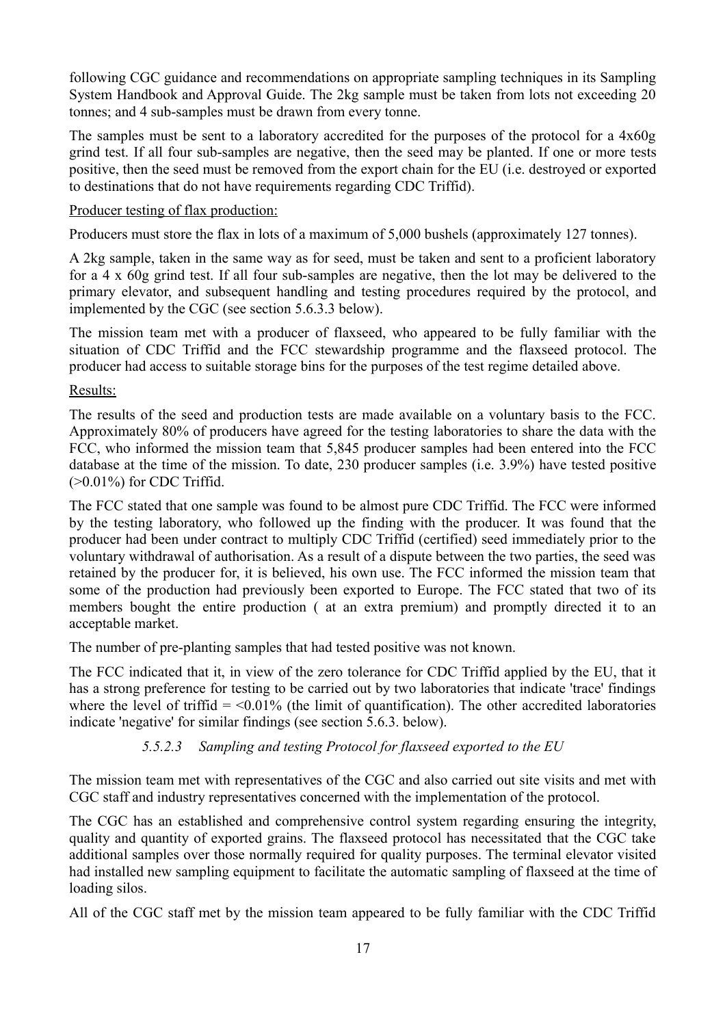following CGC guidance and recommendations on appropriate sampling techniques in its Sampling System Handbook and Approval Guide. The 2kg sample must be taken from lots not exceeding 20 tonnes; and 4 sub-samples must be drawn from every tonne.

The samples must be sent to a laboratory accredited for the purposes of the protocol for a 4x60g grind test. If all four sub-samples are negative, then the seed may be planted. If one or more tests positive, then the seed must be removed from the export chain for the EU (i.e. destroyed or exported to destinations that do not have requirements regarding CDC Triffid).

### Producer testing of flax production:

Producers must store the flax in lots of a maximum of 5,000 bushels (approximately 127 tonnes).

A 2kg sample, taken in the same way as for seed, must be taken and sent to a proficient laboratory for a 4 x 60g grind test. If all four sub-samples are negative, then the lot may be delivered to the primary elevator, and subsequent handling and testing procedures required by the protocol, and implemented by the CGC (see section 5.6.3.3 below).

The mission team met with a producer of flaxseed, who appeared to be fully familiar with the situation of CDC Triffid and the FCC stewardship programme and the flaxseed protocol. The producer had access to suitable storage bins for the purposes of the test regime detailed above.

Results:

The results of the seed and production tests are made available on a voluntary basis to the FCC. Approximately 80% of producers have agreed for the testing laboratories to share the data with the FCC, who informed the mission team that 5,845 producer samples had been entered into the FCC database at the time of the mission. To date, 230 producer samples (i.e. 3.9%) have tested positive  $(>0.01\%)$  for CDC Triffid.

The FCC stated that one sample was found to be almost pure CDC Triffid. The FCC were informed by the testing laboratory, who followed up the finding with the producer. It was found that the producer had been under contract to multiply CDC Triffid (certified) seed immediately prior to the voluntary withdrawal of authorisation. As a result of a dispute between the two parties, the seed was retained by the producer for, it is believed, his own use. The FCC informed the mission team that some of the production had previously been exported to Europe. The FCC stated that two of its members bought the entire production ( at an extra premium) and promptly directed it to an acceptable market.

The number of pre-planting samples that had tested positive was not known.

The FCC indicated that it, in view of the zero tolerance for CDC Triffid applied by the EU, that it has a strong preference for testing to be carried out by two laboratories that indicate 'trace' findings where the level of triffid  $=$  <0.01% (the limit of quantification). The other accredited laboratories indicate 'negative' for similar findings (see section 5.6.3. below).

# *5.5.2.3 Sampling and testing Protocol for flaxseed exported to the EU*

The mission team met with representatives of the CGC and also carried out site visits and met with CGC staff and industry representatives concerned with the implementation of the protocol.

The CGC has an established and comprehensive control system regarding ensuring the integrity, quality and quantity of exported grains. The flaxseed protocol has necessitated that the CGC take additional samples over those normally required for quality purposes. The terminal elevator visited had installed new sampling equipment to facilitate the automatic sampling of flaxseed at the time of loading silos.

All of the CGC staff met by the mission team appeared to be fully familiar with the CDC Triffid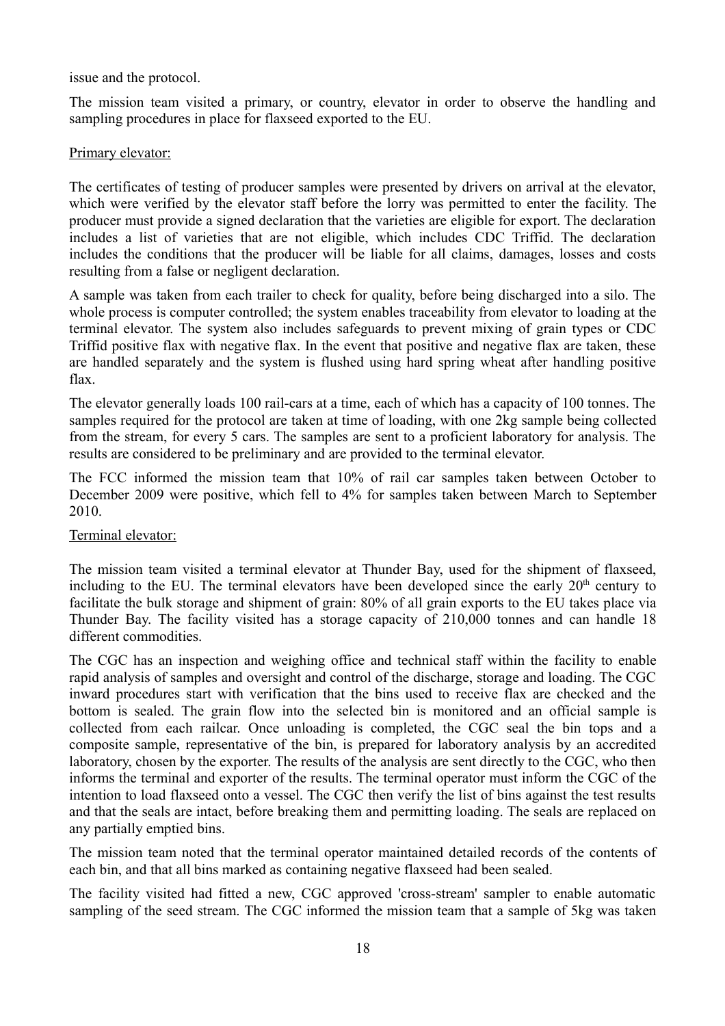issue and the protocol.

The mission team visited a primary, or country, elevator in order to observe the handling and sampling procedures in place for flaxseed exported to the EU.

#### Primary elevator:

The certificates of testing of producer samples were presented by drivers on arrival at the elevator, which were verified by the elevator staff before the lorry was permitted to enter the facility. The producer must provide a signed declaration that the varieties are eligible for export. The declaration includes a list of varieties that are not eligible, which includes CDC Triffid. The declaration includes the conditions that the producer will be liable for all claims, damages, losses and costs resulting from a false or negligent declaration.

A sample was taken from each trailer to check for quality, before being discharged into a silo. The whole process is computer controlled; the system enables traceability from elevator to loading at the terminal elevator. The system also includes safeguards to prevent mixing of grain types or CDC Triffid positive flax with negative flax. In the event that positive and negative flax are taken, these are handled separately and the system is flushed using hard spring wheat after handling positive flax.

The elevator generally loads 100 rail-cars at a time, each of which has a capacity of 100 tonnes. The samples required for the protocol are taken at time of loading, with one 2kg sample being collected from the stream, for every 5 cars. The samples are sent to a proficient laboratory for analysis. The results are considered to be preliminary and are provided to the terminal elevator.

The FCC informed the mission team that 10% of rail car samples taken between October to December 2009 were positive, which fell to 4% for samples taken between March to September 2010.

#### Terminal elevator:

The mission team visited a terminal elevator at Thunder Bay, used for the shipment of flaxseed, including to the EU. The terminal elevators have been developed since the early 20<sup>th</sup> century to facilitate the bulk storage and shipment of grain: 80% of all grain exports to the EU takes place via Thunder Bay. The facility visited has a storage capacity of 210,000 tonnes and can handle 18 different commodities.

The CGC has an inspection and weighing office and technical staff within the facility to enable rapid analysis of samples and oversight and control of the discharge, storage and loading. The CGC inward procedures start with verification that the bins used to receive flax are checked and the bottom is sealed. The grain flow into the selected bin is monitored and an official sample is collected from each railcar. Once unloading is completed, the CGC seal the bin tops and a composite sample, representative of the bin, is prepared for laboratory analysis by an accredited laboratory, chosen by the exporter. The results of the analysis are sent directly to the CGC, who then informs the terminal and exporter of the results. The terminal operator must inform the CGC of the intention to load flaxseed onto a vessel. The CGC then verify the list of bins against the test results and that the seals are intact, before breaking them and permitting loading. The seals are replaced on any partially emptied bins.

The mission team noted that the terminal operator maintained detailed records of the contents of each bin, and that all bins marked as containing negative flaxseed had been sealed.

The facility visited had fitted a new, CGC approved 'cross-stream' sampler to enable automatic sampling of the seed stream. The CGC informed the mission team that a sample of 5kg was taken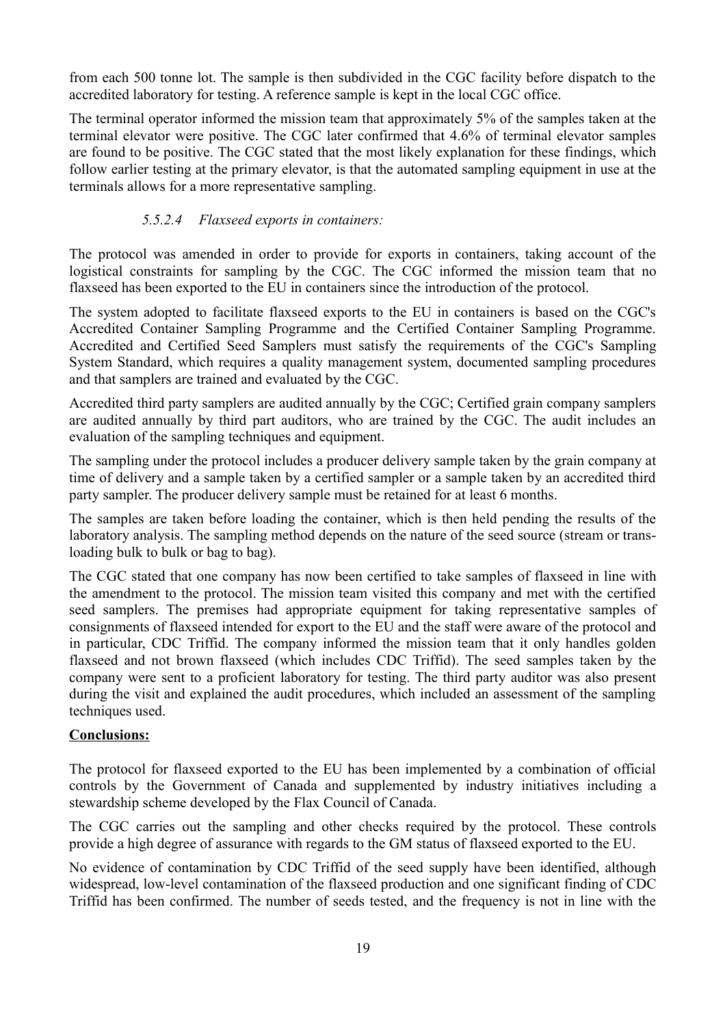from each 500 tonne lot. The sample is then subdivided in the CGC facility before dispatch to the accredited laboratory for testing. A reference sample is kept in the local CGC office.

The terminal operator informed the mission team that approximately 5% of the samples taken at the terminal elevator were positive. The CGC later confirmed that 4.6% of terminal elevator samples are found to be positive. The CGC stated that the most likely explanation for these findings, which follow earlier testing at the primary elevator, is that the automated sampling equipment in use at the terminals allows for a more representative sampling.

### *5.5.2.4 Flaxseed exports in containers:*

The protocol was amended in order to provide for exports in containers, taking account of the logistical constraints for sampling by the CGC. The CGC informed the mission team that no flaxseed has been exported to the EU in containers since the introduction of the protocol.

The system adopted to facilitate flaxseed exports to the EU in containers is based on the CGC's Accredited Container Sampling Programme and the Certified Container Sampling Programme. Accredited and Certified Seed Samplers must satisfy the requirements of the CGC's Sampling System Standard, which requires a quality management system, documented sampling procedures and that samplers are trained and evaluated by the CGC.

Accredited third party samplers are audited annually by the CGC; Certified grain company samplers are audited annually by third part auditors, who are trained by the CGC. The audit includes an evaluation of the sampling techniques and equipment.

The sampling under the protocol includes a producer delivery sample taken by the grain company at time of delivery and a sample taken by a certified sampler or a sample taken by an accredited third party sampler. The producer delivery sample must be retained for at least 6 months.

The samples are taken before loading the container, which is then held pending the results of the laboratory analysis. The sampling method depends on the nature of the seed source (stream or transloading bulk to bulk or bag to bag).

The CGC stated that one company has now been certified to take samples of flaxseed in line with the amendment to the protocol. The mission team visited this company and met with the certified seed samplers. The premises had appropriate equipment for taking representative samples of consignments of flaxseed intended for export to the EU and the staff were aware of the protocol and in particular, CDC Triffid. The company informed the mission team that it only handles golden flaxseed and not brown flaxseed (which includes CDC Triffid). The seed samples taken by the company were sent to a proficient laboratory for testing. The third party auditor was also present during the visit and explained the audit procedures, which included an assessment of the sampling techniques used.

### **Conclusions:**

The protocol for flaxseed exported to the EU has been implemented by a combination of official controls by the Government of Canada and supplemented by industry initiatives including a stewardship scheme developed by the Flax Council of Canada.

The CGC carries out the sampling and other checks required by the protocol. These controls provide a high degree of assurance with regards to the GM status of flaxseed exported to the EU.

No evidence of contamination by CDC Triffid of the seed supply have been identified, although widespread, low-level contamination of the flaxseed production and one significant finding of CDC Triffid has been confirmed. The number of seeds tested, and the frequency is not in line with the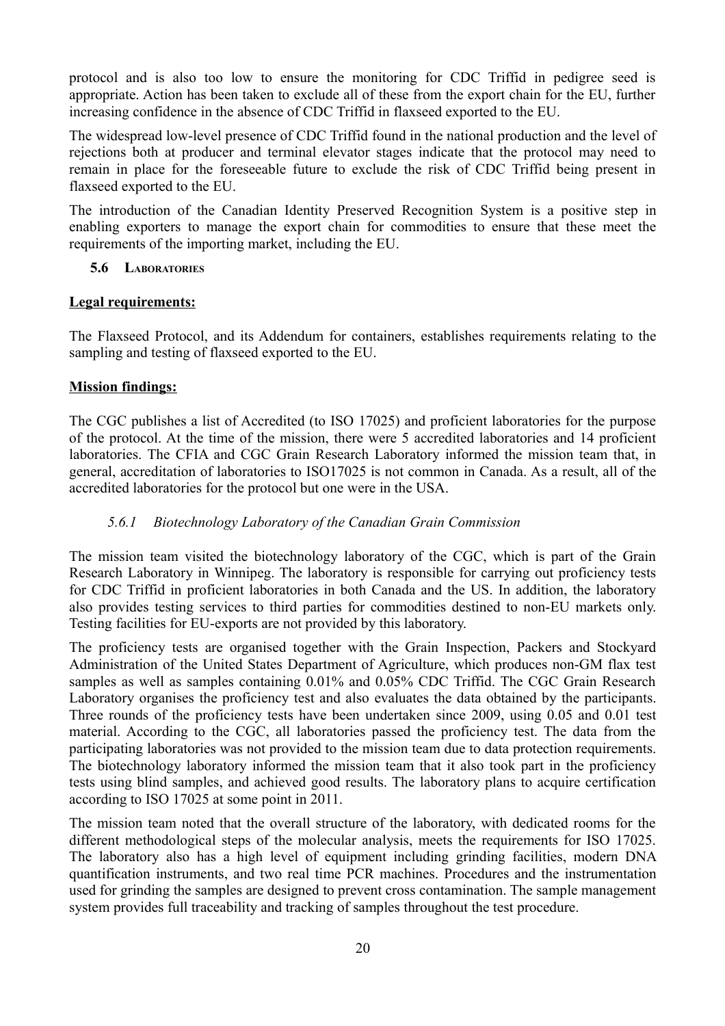protocol and is also too low to ensure the monitoring for CDC Triffid in pedigree seed is appropriate. Action has been taken to exclude all of these from the export chain for the EU, further increasing confidence in the absence of CDC Triffid in flaxseed exported to the EU.

The widespread low-level presence of CDC Triffid found in the national production and the level of rejections both at producer and terminal elevator stages indicate that the protocol may need to remain in place for the foreseeable future to exclude the risk of CDC Triffid being present in flaxseed exported to the EU.

The introduction of the Canadian Identity Preserved Recognition System is a positive step in enabling exporters to manage the export chain for commodities to ensure that these meet the requirements of the importing market, including the EU.

### <span id="page-23-1"></span> **5.6 LABORATORIES**

### **Legal requirements:**

The Flaxseed Protocol, and its Addendum for containers, establishes requirements relating to the sampling and testing of flaxseed exported to the EU.

### **Mission findings:**

The CGC publishes a list of Accredited (to ISO 17025) and proficient laboratories for the purpose of the protocol. At the time of the mission, there were 5 accredited laboratories and 14 proficient laboratories. The CFIA and CGC Grain Research Laboratory informed the mission team that, in general, accreditation of laboratories to ISO17025 is not common in Canada. As a result, all of the accredited laboratories for the protocol but one were in the USA.

### <span id="page-23-0"></span> *5.6.1 Biotechnology Laboratory of the Canadian Grain Commission*

The mission team visited the biotechnology laboratory of the CGC, which is part of the Grain Research Laboratory in Winnipeg. The laboratory is responsible for carrying out proficiency tests for CDC Triffid in proficient laboratories in both Canada and the US. In addition, the laboratory also provides testing services to third parties for commodities destined to non-EU markets only. Testing facilities for EU-exports are not provided by this laboratory.

The proficiency tests are organised together with the Grain Inspection, Packers and Stockyard Administration of the United States Department of Agriculture, which produces non-GM flax test samples as well as samples containing  $0.01\%$  and  $0.05\%$  CDC Triffid. The CGC Grain Research Laboratory organises the proficiency test and also evaluates the data obtained by the participants. Three rounds of the proficiency tests have been undertaken since 2009, using 0.05 and 0.01 test material. According to the CGC, all laboratories passed the proficiency test. The data from the participating laboratories was not provided to the mission team due to data protection requirements. The biotechnology laboratory informed the mission team that it also took part in the proficiency tests using blind samples, and achieved good results. The laboratory plans to acquire certification according to ISO 17025 at some point in 2011.

The mission team noted that the overall structure of the laboratory, with dedicated rooms for the different methodological steps of the molecular analysis, meets the requirements for ISO 17025. The laboratory also has a high level of equipment including grinding facilities, modern DNA quantification instruments, and two real time PCR machines. Procedures and the instrumentation used for grinding the samples are designed to prevent cross contamination. The sample management system provides full traceability and tracking of samples throughout the test procedure.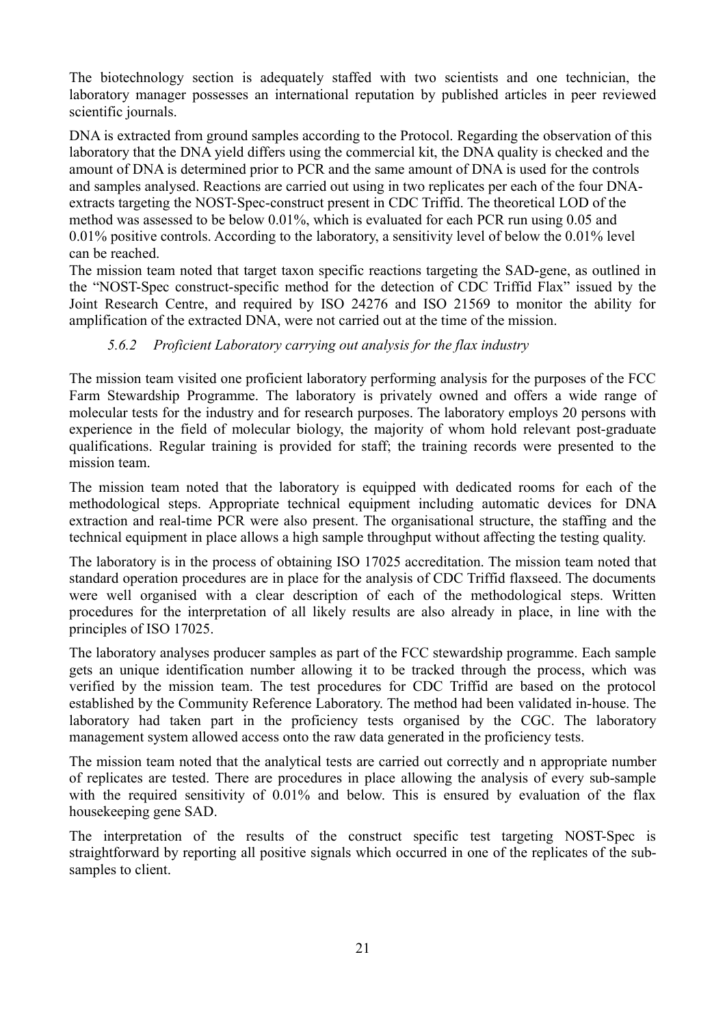The biotechnology section is adequately staffed with two scientists and one technician, the laboratory manager possesses an international reputation by published articles in peer reviewed scientific journals.

DNA is extracted from ground samples according to the Protocol. Regarding the observation of this laboratory that the DNA yield differs using the commercial kit, the DNA quality is checked and the amount of DNA is determined prior to PCR and the same amount of DNA is used for the controls and samples analysed. Reactions are carried out using in two replicates per each of the four DNAextracts targeting the NOST-Spec-construct present in CDC Triffid. The theoretical LOD of the method was assessed to be below 0.01%, which is evaluated for each PCR run using 0.05 and 0.01% positive controls. According to the laboratory, a sensitivity level of below the 0.01% level can be reached.

The mission team noted that target taxon specific reactions targeting the SAD-gene, as outlined in the "NOST-Spec construct-specific method for the detection of CDC Triffid Flax" issued by the Joint Research Centre, and required by ISO 24276 and ISO 21569 to monitor the ability for amplification of the extracted DNA, were not carried out at the time of the mission.

# <span id="page-24-0"></span> *5.6.2 Proficient Laboratory carrying out analysis for the flax industry*

The mission team visited one proficient laboratory performing analysis for the purposes of the FCC Farm Stewardship Programme. The laboratory is privately owned and offers a wide range of molecular tests for the industry and for research purposes. The laboratory employs 20 persons with experience in the field of molecular biology, the majority of whom hold relevant post-graduate qualifications. Regular training is provided for staff; the training records were presented to the mission team.

The mission team noted that the laboratory is equipped with dedicated rooms for each of the methodological steps. Appropriate technical equipment including automatic devices for DNA extraction and real-time PCR were also present. The organisational structure, the staffing and the technical equipment in place allows a high sample throughput without affecting the testing quality.

The laboratory is in the process of obtaining ISO 17025 accreditation. The mission team noted that standard operation procedures are in place for the analysis of CDC Triffid flaxseed. The documents were well organised with a clear description of each of the methodological steps. Written procedures for the interpretation of all likely results are also already in place, in line with the principles of ISO 17025.

The laboratory analyses producer samples as part of the FCC stewardship programme. Each sample gets an unique identification number allowing it to be tracked through the process, which was verified by the mission team. The test procedures for CDC Triffid are based on the protocol established by the Community Reference Laboratory. The method had been validated in-house. The laboratory had taken part in the proficiency tests organised by the CGC. The laboratory management system allowed access onto the raw data generated in the proficiency tests.

The mission team noted that the analytical tests are carried out correctly and n appropriate number of replicates are tested. There are procedures in place allowing the analysis of every sub-sample with the required sensitivity of 0.01% and below. This is ensured by evaluation of the flax housekeeping gene SAD.

The interpretation of the results of the construct specific test targeting NOST-Spec is straightforward by reporting all positive signals which occurred in one of the replicates of the subsamples to client.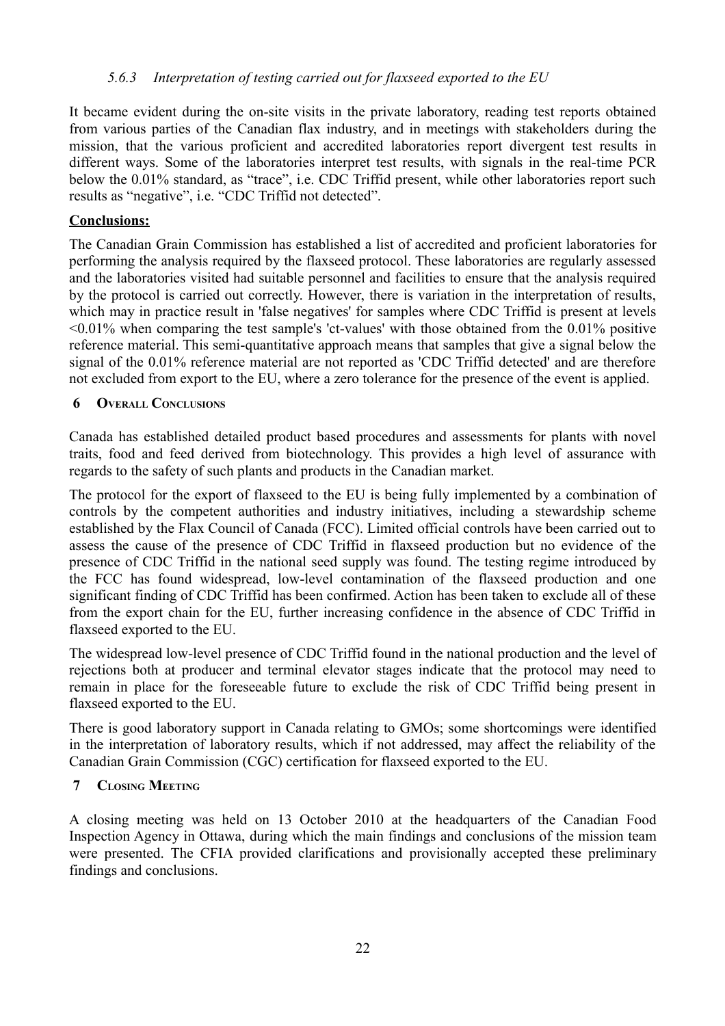### <span id="page-25-0"></span> *5.6.3 Interpretation of testing carried out for flaxseed exported to the EU*

It became evident during the on-site visits in the private laboratory, reading test reports obtained from various parties of the Canadian flax industry, and in meetings with stakeholders during the mission, that the various proficient and accredited laboratories report divergent test results in different ways. Some of the laboratories interpret test results, with signals in the real-time PCR below the 0.01% standard, as "trace", i.e. CDC Triffid present, while other laboratories report such results as "negative", i.e. "CDC Triffid not detected".

### **Conclusions:**

The Canadian Grain Commission has established a list of accredited and proficient laboratories for performing the analysis required by the flaxseed protocol. These laboratories are regularly assessed and the laboratories visited had suitable personnel and facilities to ensure that the analysis required by the protocol is carried out correctly. However, there is variation in the interpretation of results, which may in practice result in 'false negatives' for samples where CDC Triffid is present at levels <0.01% when comparing the test sample's 'ct-values' with those obtained from the 0.01% positive reference material. This semi-quantitative approach means that samples that give a signal below the signal of the 0.01% reference material are not reported as 'CDC Triffid detected' and are therefore not excluded from export to the EU, where a zero tolerance for the presence of the event is applied.

#### **6 OVERALL CONCLUSIONS**

Canada has established detailed product based procedures and assessments for plants with novel traits, food and feed derived from biotechnology. This provides a high level of assurance with regards to the safety of such plants and products in the Canadian market.

The protocol for the export of flaxseed to the EU is being fully implemented by a combination of controls by the competent authorities and industry initiatives, including a stewardship scheme established by the Flax Council of Canada (FCC). Limited official controls have been carried out to assess the cause of the presence of CDC Triffid in flaxseed production but no evidence of the presence of CDC Triffid in the national seed supply was found. The testing regime introduced by the FCC has found widespread, low-level contamination of the flaxseed production and one significant finding of CDC Triffid has been confirmed. Action has been taken to exclude all of these from the export chain for the EU, further increasing confidence in the absence of CDC Triffid in flaxseed exported to the EU.

The widespread low-level presence of CDC Triffid found in the national production and the level of rejections both at producer and terminal elevator stages indicate that the protocol may need to remain in place for the foreseeable future to exclude the risk of CDC Triffid being present in flaxseed exported to the EU.

There is good laboratory support in Canada relating to GMOs; some shortcomings were identified in the interpretation of laboratory results, which if not addressed, may affect the reliability of the Canadian Grain Commission (CGC) certification for flaxseed exported to the EU.

#### **7 CLOSING MEETING**

A closing meeting was held on 13 October 2010 at the headquarters of the Canadian Food Inspection Agency in Ottawa, during which the main findings and conclusions of the mission team were presented. The CFIA provided clarifications and provisionally accepted these preliminary findings and conclusions.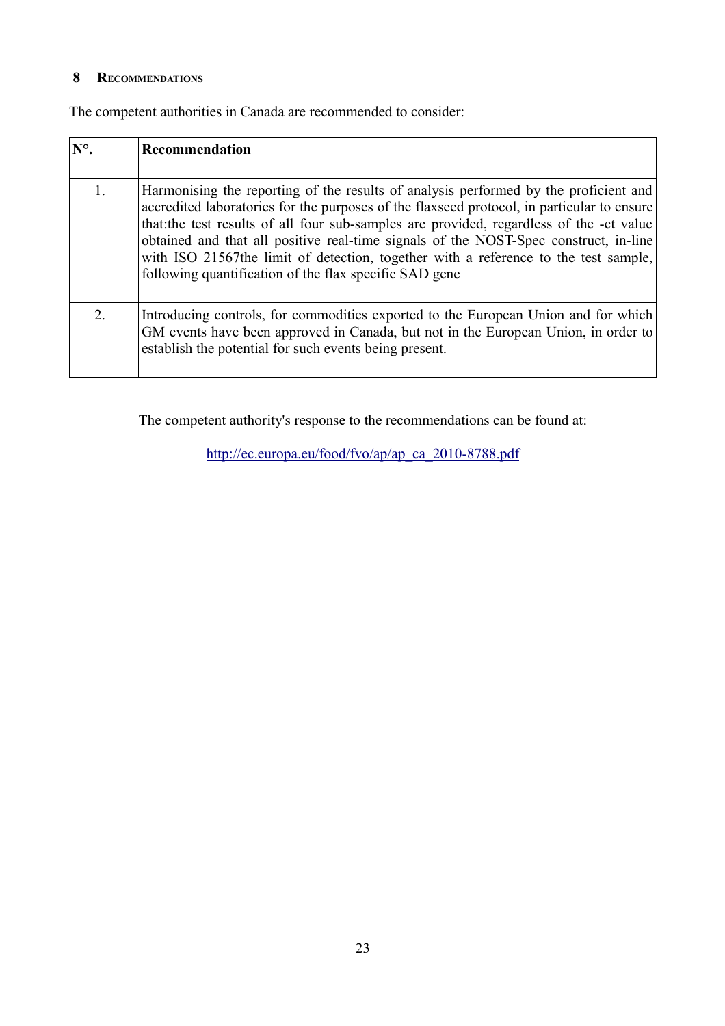### **8 RECOMMENDATIONS**

The competent authorities in Canada are recommended to consider:

| $N^{\circ}$ . | Recommendation                                                                                                                                                                                                                                                                                                                                                                                                                                                                                                         |
|---------------|------------------------------------------------------------------------------------------------------------------------------------------------------------------------------------------------------------------------------------------------------------------------------------------------------------------------------------------------------------------------------------------------------------------------------------------------------------------------------------------------------------------------|
|               | Harmonising the reporting of the results of analysis performed by the proficient and<br>accredited laboratories for the purposes of the flaxseed protocol, in particular to ensure<br>that the test results of all four sub-samples are provided, regardless of the -ct value<br>obtained and that all positive real-time signals of the NOST-Spec construct, in-line<br>with ISO 21567the limit of detection, together with a reference to the test sample,<br>following quantification of the flax specific SAD gene |
| 2             | Introducing controls, for commodities exported to the European Union and for which<br>GM events have been approved in Canada, but not in the European Union, in order to<br>establish the potential for such events being present.                                                                                                                                                                                                                                                                                     |

The competent authority's response to the recommendations can be found at:

[http://ec.europa.eu/food/fvo/ap/ap\\_ca\\_2010-8788.pdf](http://ec.europa.eu/food/fvo/ap/ap_ca_2010-8788.pdf)